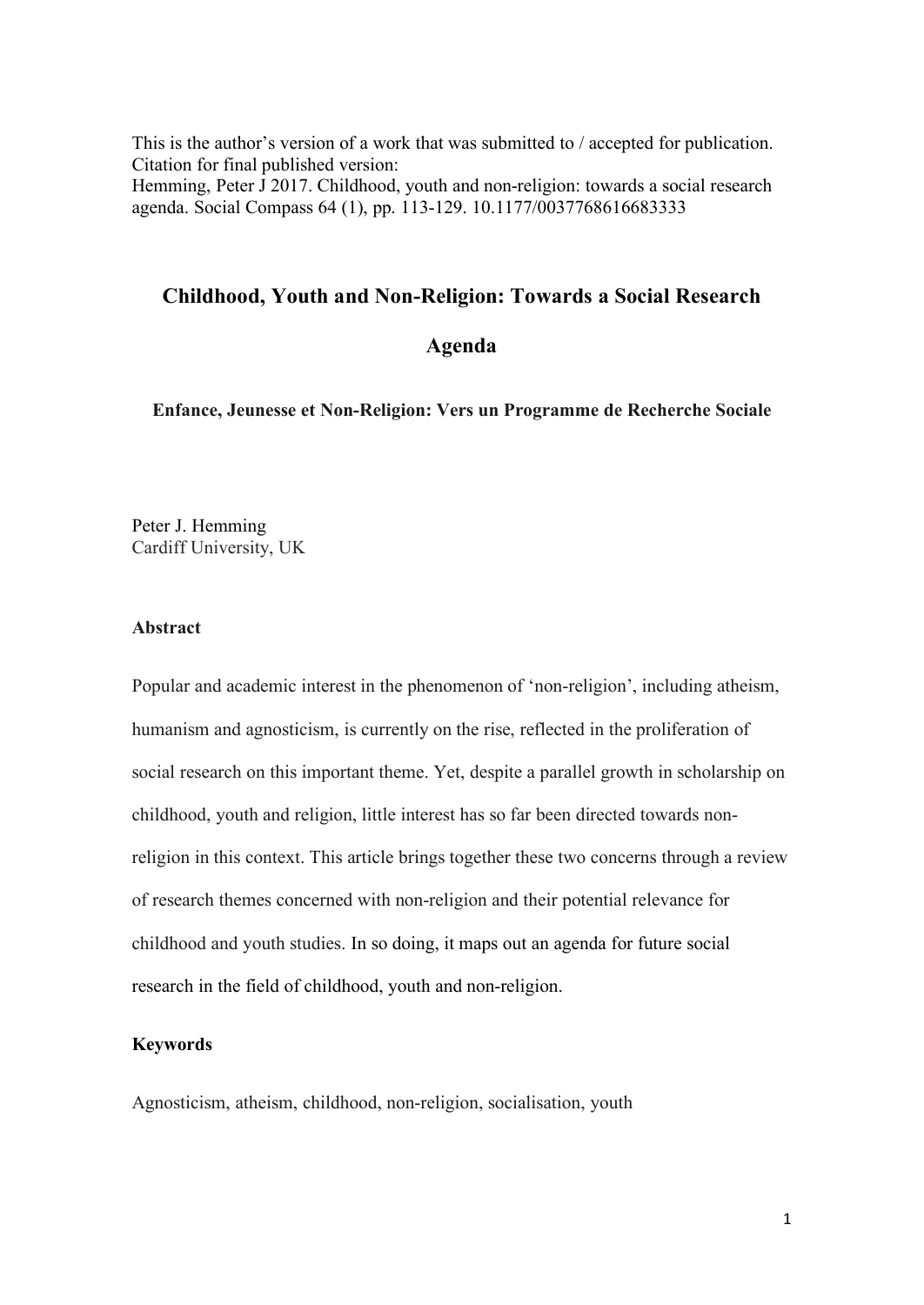This is the author's version of a work that was submitted to / accepted for publication. Citation for final published version: Hemming, Peter J 2017. Childhood, youth and non-religion: towards a social research agenda. Social Compass 64 (1), pp. 113-129. 10.1177/0037768616683333

### **Childhood, Youth and Non-Religion: Towards a Social Research**

#### **Agenda**

**Enfance, Jeunesse et Non-Religion: Vers un Programme de Recherche Sociale**

Peter J. Hemming Cardiff University, UK

### **Abstract**

Popular and academic interest in the phenomenon of 'non-religion', including atheism, humanism and agnosticism, is currently on the rise, reflected in the proliferation of social research on this important theme. Yet, despite a parallel growth in scholarship on childhood, youth and religion, little interest has so far been directed towards nonreligion in this context. This article brings together these two concerns through a review of research themes concerned with non-religion and their potential relevance for childhood and youth studies. In so doing, it maps out an agenda for future social research in the field of childhood, youth and non-religion.

#### **Keywords**

Agnosticism, atheism, childhood, non-religion, socialisation, youth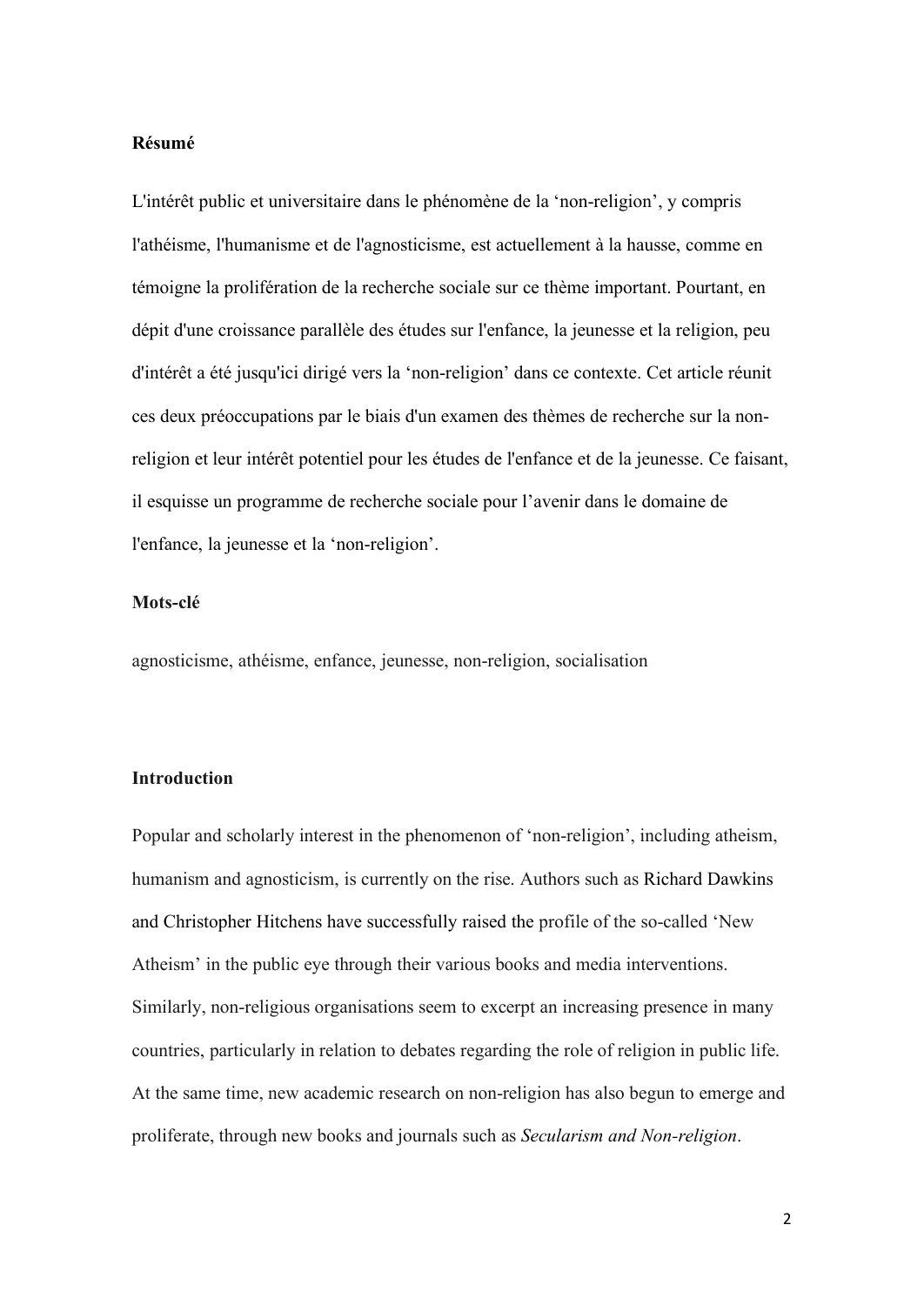### **Résumé**

L'intérêt public et universitaire dans le phénomène de la 'non-religion', y compris l'athéisme, l'humanisme et de l'agnosticisme, est actuellement à la hausse, comme en témoigne la prolifération de la recherche sociale sur ce thème important. Pourtant, en dépit d'une croissance parallèle des études sur l'enfance, la jeunesse et la religion, peu d'intérêt a été jusqu'ici dirigé vers la 'non-religion' dans ce contexte. Cet article réunit ces deux préoccupations par le biais d'un examen des thèmes de recherche sur la nonreligion et leur intérêt potentiel pour les études de l'enfance et de la jeunesse. Ce faisant, il esquisse un programme de recherche sociale pour l'avenir dans le domaine de l'enfance, la jeunesse et la 'non-religion'.

#### **Mots-clé**

agnosticisme, athéisme, enfance, jeunesse, non-religion, socialisation

#### **Introduction**

Popular and scholarly interest in the phenomenon of 'non-religion', including atheism, humanism and agnosticism, is currently on the rise. Authors such as Richard Dawkins and Christopher Hitchens have successfully raised the profile of the so-called 'New Atheism' in the public eye through their various books and media interventions. Similarly, non-religious organisations seem to excerpt an increasing presence in many countries, particularly in relation to debates regarding the role of religion in public life. At the same time, new academic research on non-religion has also begun to emerge and proliferate, through new books and journals such as *Secularism and Non-religion*.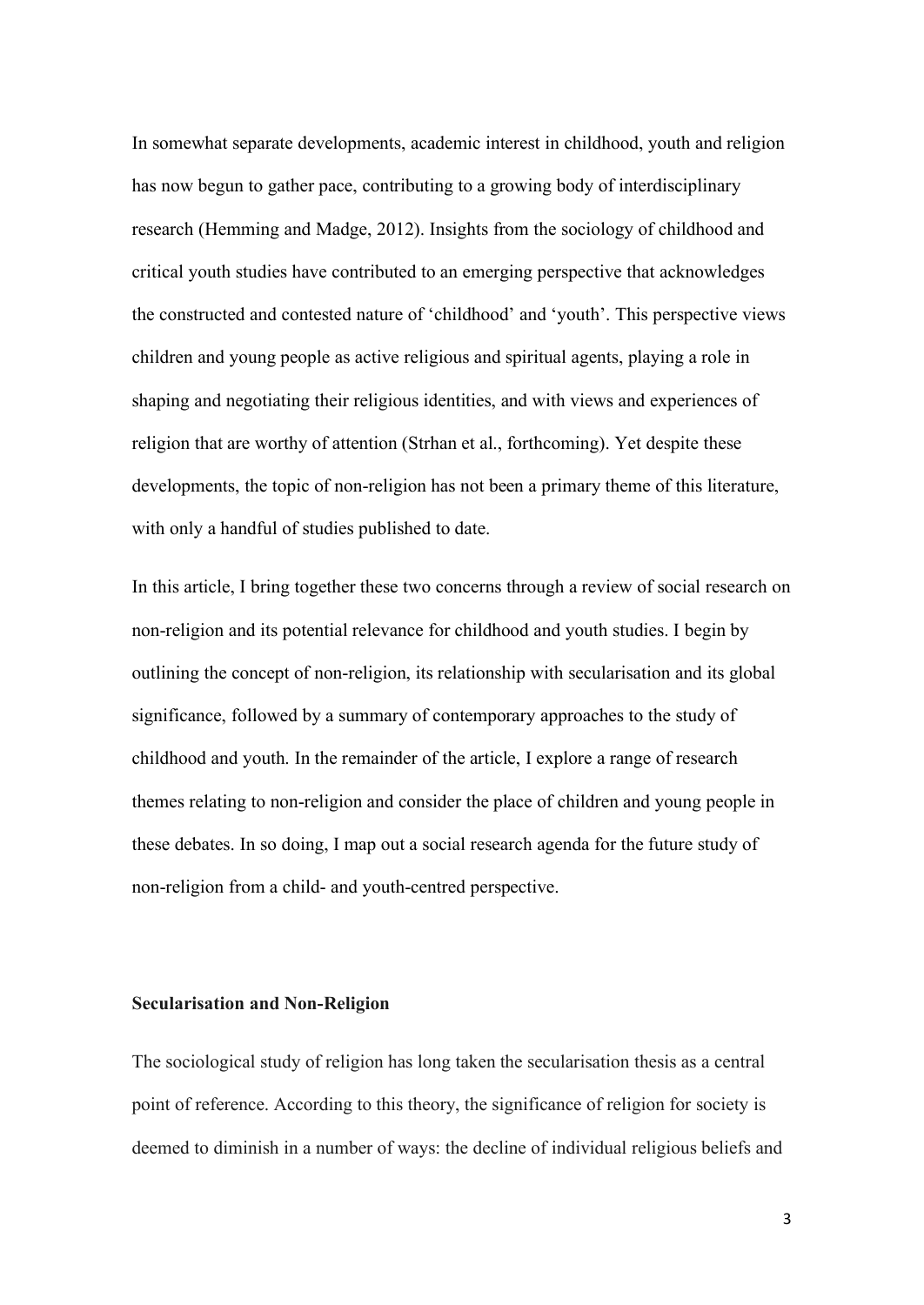In somewhat separate developments, academic interest in childhood, youth and religion has now begun to gather pace, contributing to a growing body of interdisciplinary research (Hemming and Madge, 2012). Insights from the sociology of childhood and critical youth studies have contributed to an emerging perspective that acknowledges the constructed and contested nature of 'childhood' and 'youth'. This perspective views children and young people as active religious and spiritual agents, playing a role in shaping and negotiating their religious identities, and with views and experiences of religion that are worthy of attention (Strhan et al., forthcoming). Yet despite these developments, the topic of non-religion has not been a primary theme of this literature, with only a handful of studies published to date.

In this article, I bring together these two concerns through a review of social research on non-religion and its potential relevance for childhood and youth studies. I begin by outlining the concept of non-religion, its relationship with secularisation and its global significance, followed by a summary of contemporary approaches to the study of childhood and youth. In the remainder of the article, I explore a range of research themes relating to non-religion and consider the place of children and young people in these debates. In so doing, I map out a social research agenda for the future study of non-religion from a child- and youth-centred perspective.

#### **Secularisation and Non-Religion**

The sociological study of religion has long taken the secularisation thesis as a central point of reference. According to this theory, the significance of religion for society is deemed to diminish in a number of ways: the decline of individual religious beliefs and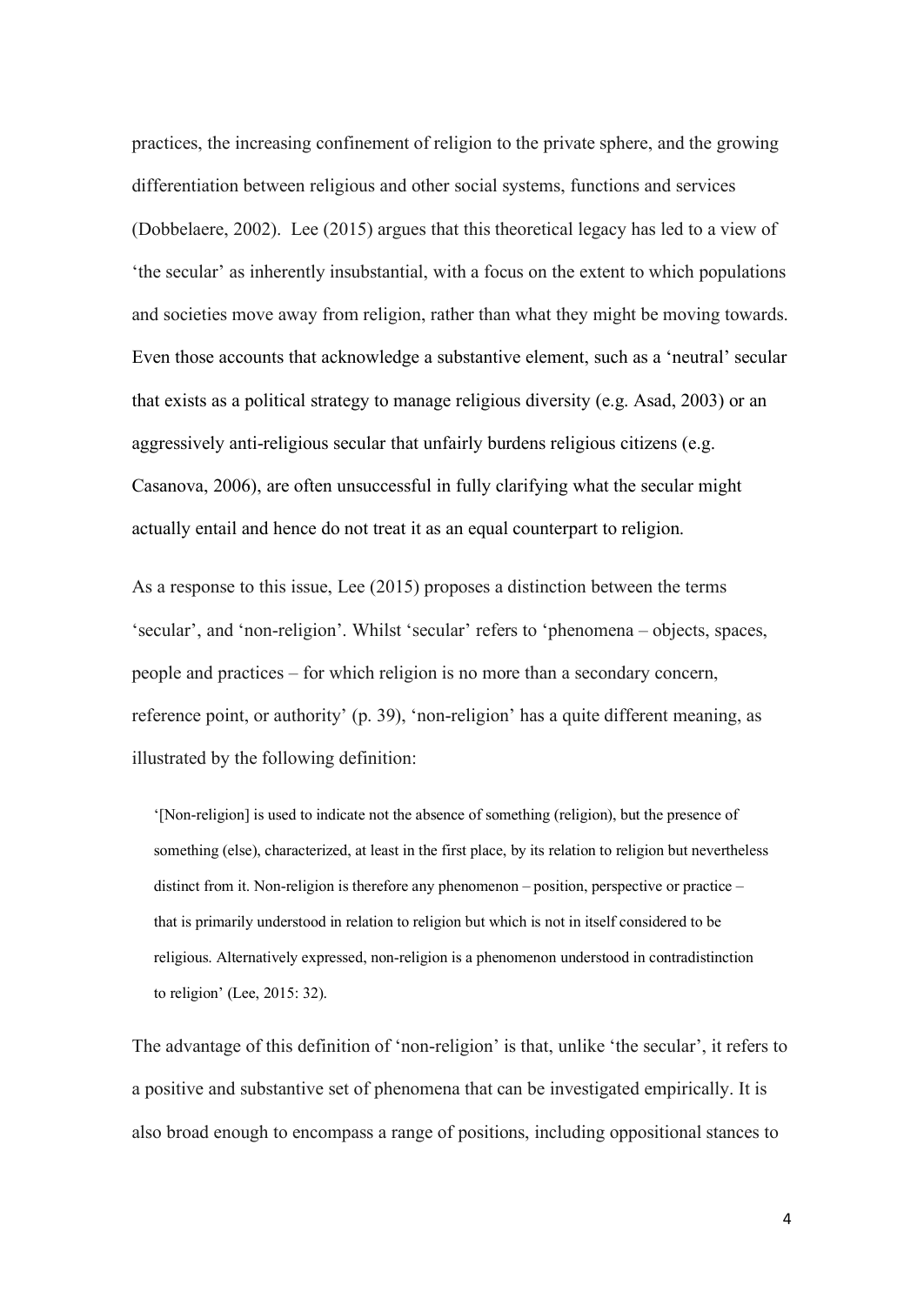practices, the increasing confinement of religion to the private sphere, and the growing differentiation between religious and other social systems, functions and services (Dobbelaere, 2002). Lee (2015) argues that this theoretical legacy has led to a view of 'the secular' as inherently insubstantial, with a focus on the extent to which populations and societies move away from religion, rather than what they might be moving towards. Even those accounts that acknowledge a substantive element, such as a 'neutral' secular that exists as a political strategy to manage religious diversity (e.g. Asad, 2003) or an aggressively anti-religious secular that unfairly burdens religious citizens (e.g. Casanova, 2006), are often unsuccessful in fully clarifying what the secular might actually entail and hence do not treat it as an equal counterpart to religion.

As a response to this issue, Lee (2015) proposes a distinction between the terms 'secular', and 'non-religion'. Whilst 'secular' refers to 'phenomena – objects, spaces, people and practices – for which religion is no more than a secondary concern, reference point, or authority' (p. 39), 'non-religion' has a quite different meaning, as illustrated by the following definition:

'[Non-religion] is used to indicate not the absence of something (religion), but the presence of something (else), characterized, at least in the first place, by its relation to religion but nevertheless distinct from it. Non-religion is therefore any phenomenon – position, perspective or practice – that is primarily understood in relation to religion but which is not in itself considered to be religious. Alternatively expressed, non-religion is a phenomenon understood in contradistinction to religion' (Lee, 2015: 32).

The advantage of this definition of 'non-religion' is that, unlike 'the secular', it refers to a positive and substantive set of phenomena that can be investigated empirically. It is also broad enough to encompass a range of positions, including oppositional stances to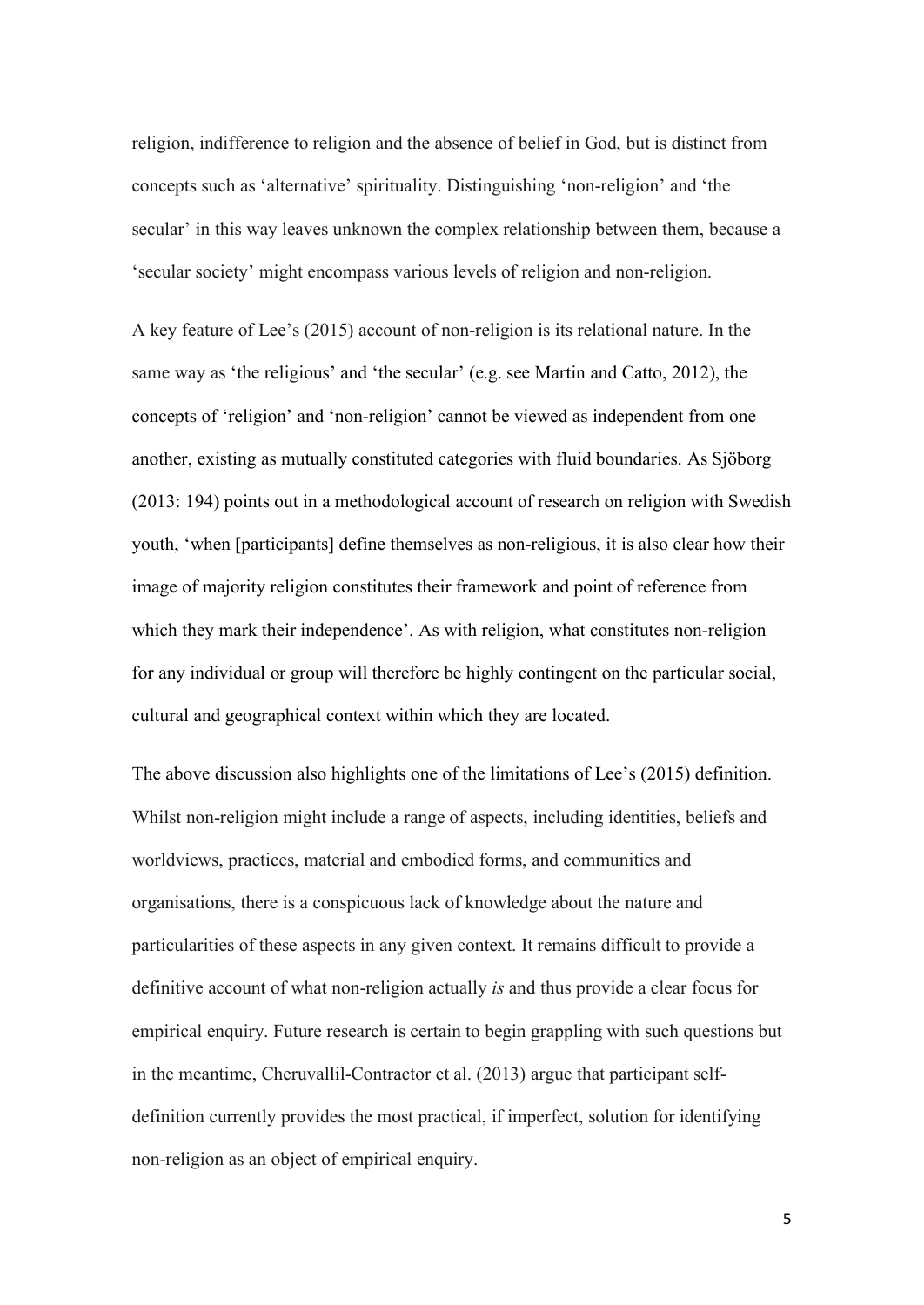religion, indifference to religion and the absence of belief in God, but is distinct from concepts such as 'alternative' spirituality. Distinguishing 'non-religion' and 'the secular' in this way leaves unknown the complex relationship between them, because a 'secular society' might encompass various levels of religion and non-religion.

A key feature of Lee's (2015) account of non-religion is its relational nature. In the same way as 'the religious' and 'the secular' (e.g. see Martin and Catto, 2012), the concepts of 'religion' and 'non-religion' cannot be viewed as independent from one another, existing as mutually constituted categories with fluid boundaries. As Sjöborg (2013: 194) points out in a methodological account of research on religion with Swedish youth, 'when [participants] define themselves as non-religious, it is also clear how their image of majority religion constitutes their framework and point of reference from which they mark their independence'. As with religion, what constitutes non-religion for any individual or group will therefore be highly contingent on the particular social, cultural and geographical context within which they are located.

The above discussion also highlights one of the limitations of Lee's (2015) definition. Whilst non-religion might include a range of aspects, including identities, beliefs and worldviews, practices, material and embodied forms, and communities and organisations, there is a conspicuous lack of knowledge about the nature and particularities of these aspects in any given context. It remains difficult to provide a definitive account of what non-religion actually *is* and thus provide a clear focus for empirical enquiry. Future research is certain to begin grappling with such questions but in the meantime, Cheruvallil-Contractor et al. (2013) argue that participant selfdefinition currently provides the most practical, if imperfect, solution for identifying non-religion as an object of empirical enquiry.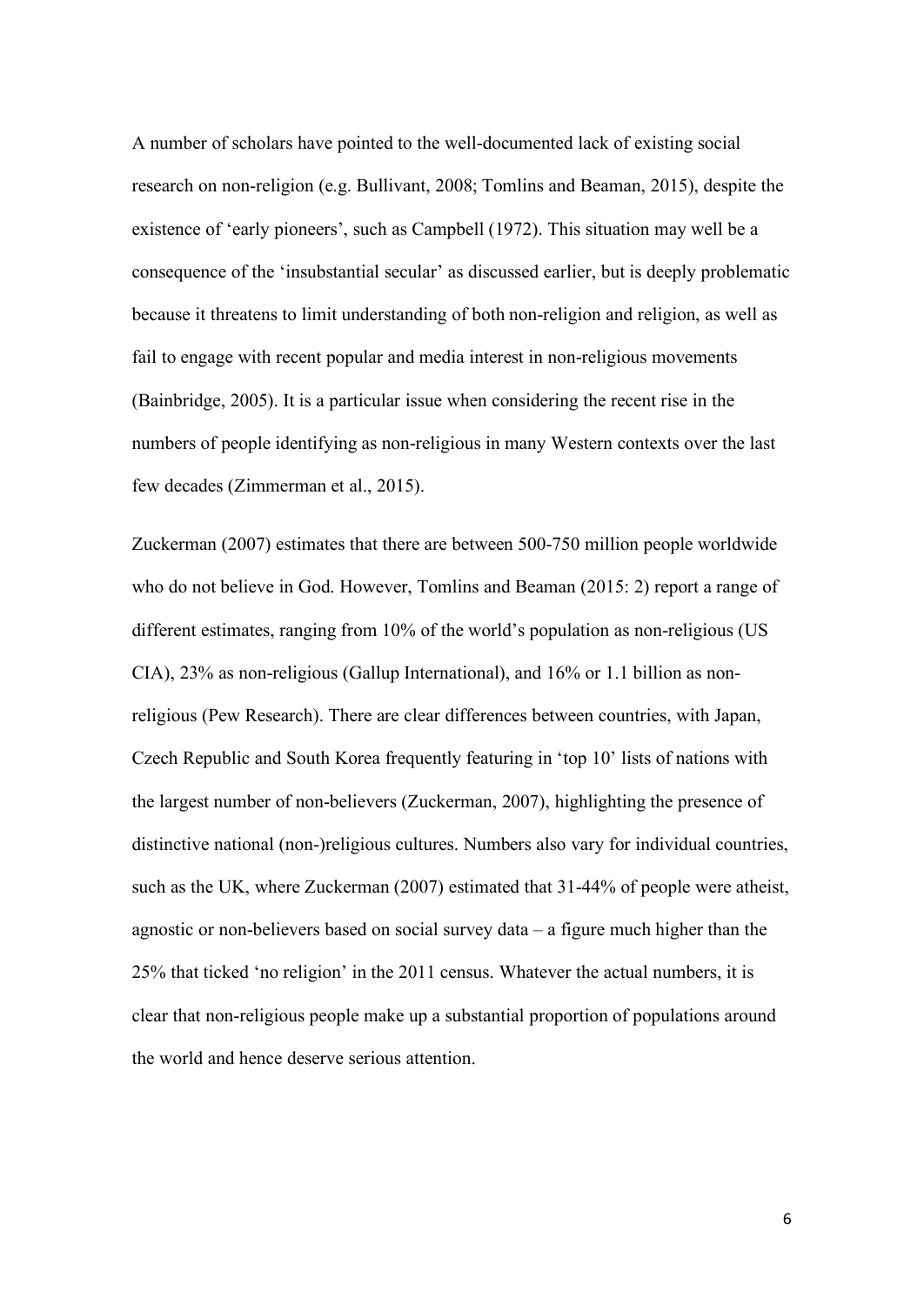A number of scholars have pointed to the well-documented lack of existing social research on non-religion (e.g. Bullivant, 2008; Tomlins and Beaman, 2015), despite the existence of 'early pioneers', such as Campbell (1972). This situation may well be a consequence of the 'insubstantial secular' as discussed earlier, but is deeply problematic because it threatens to limit understanding of both non-religion and religion, as well as fail to engage with recent popular and media interest in non-religious movements (Bainbridge, 2005). It is a particular issue when considering the recent rise in the numbers of people identifying as non-religious in many Western contexts over the last few decades (Zimmerman et al., 2015).

Zuckerman (2007) estimates that there are between 500-750 million people worldwide who do not believe in God. However, Tomlins and Beaman (2015: 2) report a range of different estimates, ranging from 10% of the world's population as non-religious (US CIA), 23% as non-religious (Gallup International), and 16% or 1.1 billion as nonreligious (Pew Research). There are clear differences between countries, with Japan, Czech Republic and South Korea frequently featuring in 'top 10' lists of nations with the largest number of non-believers (Zuckerman, 2007), highlighting the presence of distinctive national (non-)religious cultures. Numbers also vary for individual countries, such as the UK, where Zuckerman (2007) estimated that 31-44% of people were atheist, agnostic or non-believers based on social survey data – a figure much higher than the 25% that ticked 'no religion' in the 2011 census. Whatever the actual numbers, it is clear that non-religious people make up a substantial proportion of populations around the world and hence deserve serious attention.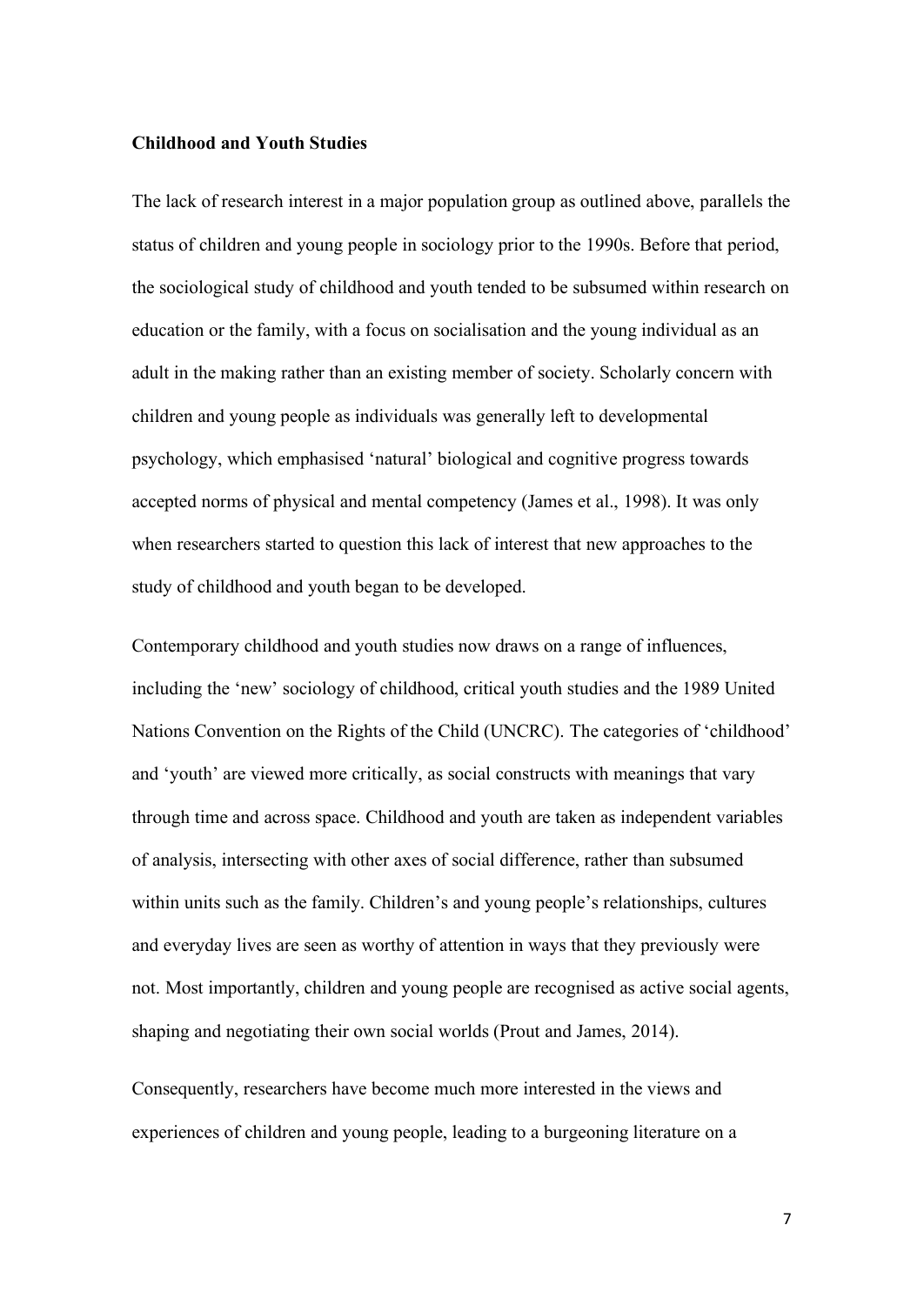#### **Childhood and Youth Studies**

The lack of research interest in a major population group as outlined above, parallels the status of children and young people in sociology prior to the 1990s. Before that period, the sociological study of childhood and youth tended to be subsumed within research on education or the family, with a focus on socialisation and the young individual as an adult in the making rather than an existing member of society. Scholarly concern with children and young people as individuals was generally left to developmental psychology, which emphasised 'natural' biological and cognitive progress towards accepted norms of physical and mental competency (James et al., 1998). It was only when researchers started to question this lack of interest that new approaches to the study of childhood and youth began to be developed.

Contemporary childhood and youth studies now draws on a range of influences, including the 'new' sociology of childhood, critical youth studies and the 1989 United Nations Convention on the Rights of the Child (UNCRC). The categories of 'childhood' and 'youth' are viewed more critically, as social constructs with meanings that vary through time and across space. Childhood and youth are taken as independent variables of analysis, intersecting with other axes of social difference, rather than subsumed within units such as the family. Children's and young people's relationships, cultures and everyday lives are seen as worthy of attention in ways that they previously were not. Most importantly, children and young people are recognised as active social agents, shaping and negotiating their own social worlds (Prout and James, 2014).

Consequently, researchers have become much more interested in the views and experiences of children and young people, leading to a burgeoning literature on a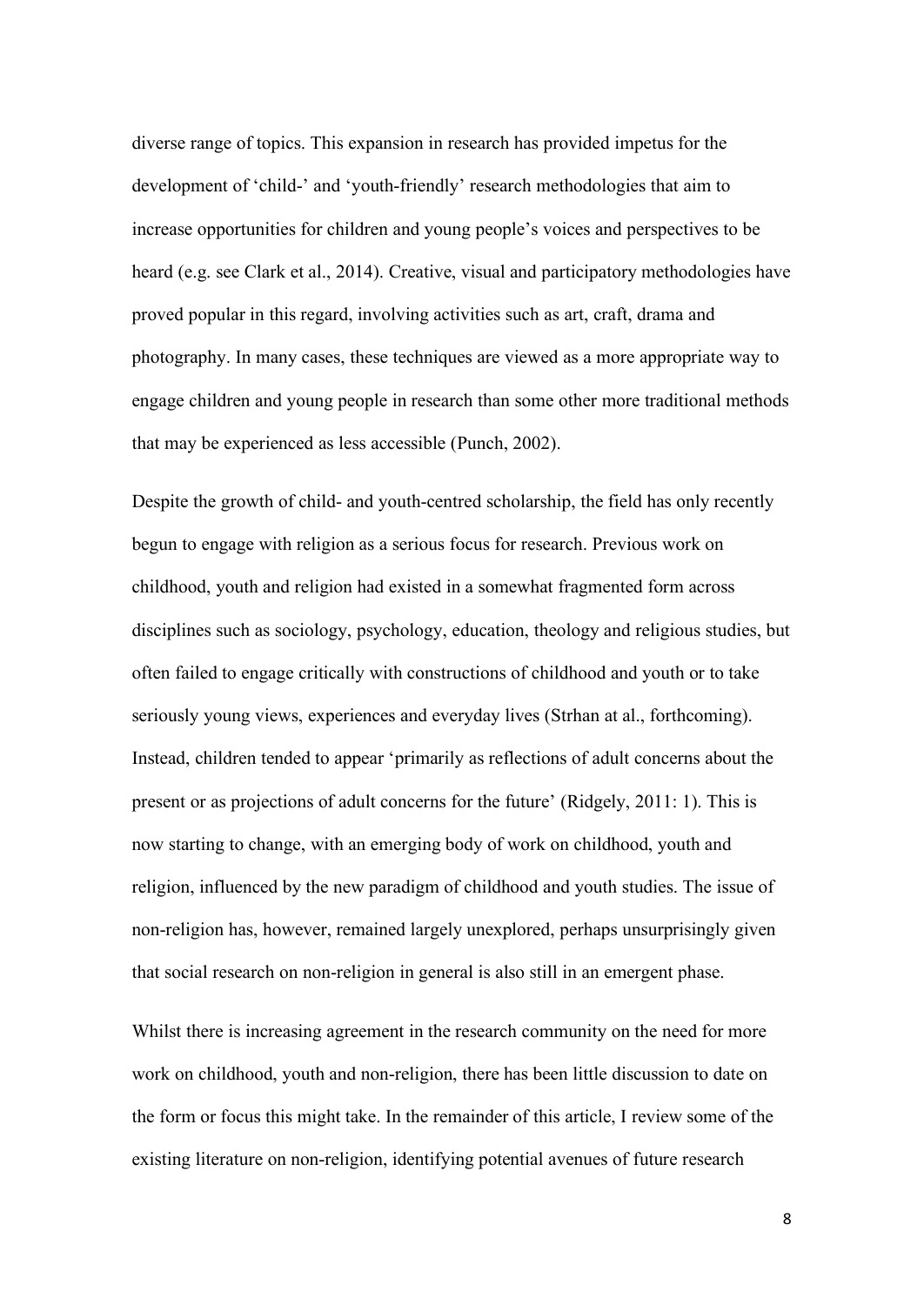diverse range of topics. This expansion in research has provided impetus for the development of 'child-' and 'youth-friendly' research methodologies that aim to increase opportunities for children and young people's voices and perspectives to be heard (e.g. see Clark et al., 2014). Creative, visual and participatory methodologies have proved popular in this regard, involving activities such as art, craft, drama and photography. In many cases, these techniques are viewed as a more appropriate way to engage children and young people in research than some other more traditional methods that may be experienced as less accessible (Punch, 2002).

Despite the growth of child- and youth-centred scholarship, the field has only recently begun to engage with religion as a serious focus for research. Previous work on childhood, youth and religion had existed in a somewhat fragmented form across disciplines such as sociology, psychology, education, theology and religious studies, but often failed to engage critically with constructions of childhood and youth or to take seriously young views, experiences and everyday lives (Strhan at al., forthcoming). Instead, children tended to appear 'primarily as reflections of adult concerns about the present or as projections of adult concerns for the future' (Ridgely, 2011: 1). This is now starting to change, with an emerging body of work on childhood, youth and religion, influenced by the new paradigm of childhood and youth studies. The issue of non-religion has, however, remained largely unexplored, perhaps unsurprisingly given that social research on non-religion in general is also still in an emergent phase.

Whilst there is increasing agreement in the research community on the need for more work on childhood, youth and non-religion, there has been little discussion to date on the form or focus this might take. In the remainder of this article, I review some of the existing literature on non-religion, identifying potential avenues of future research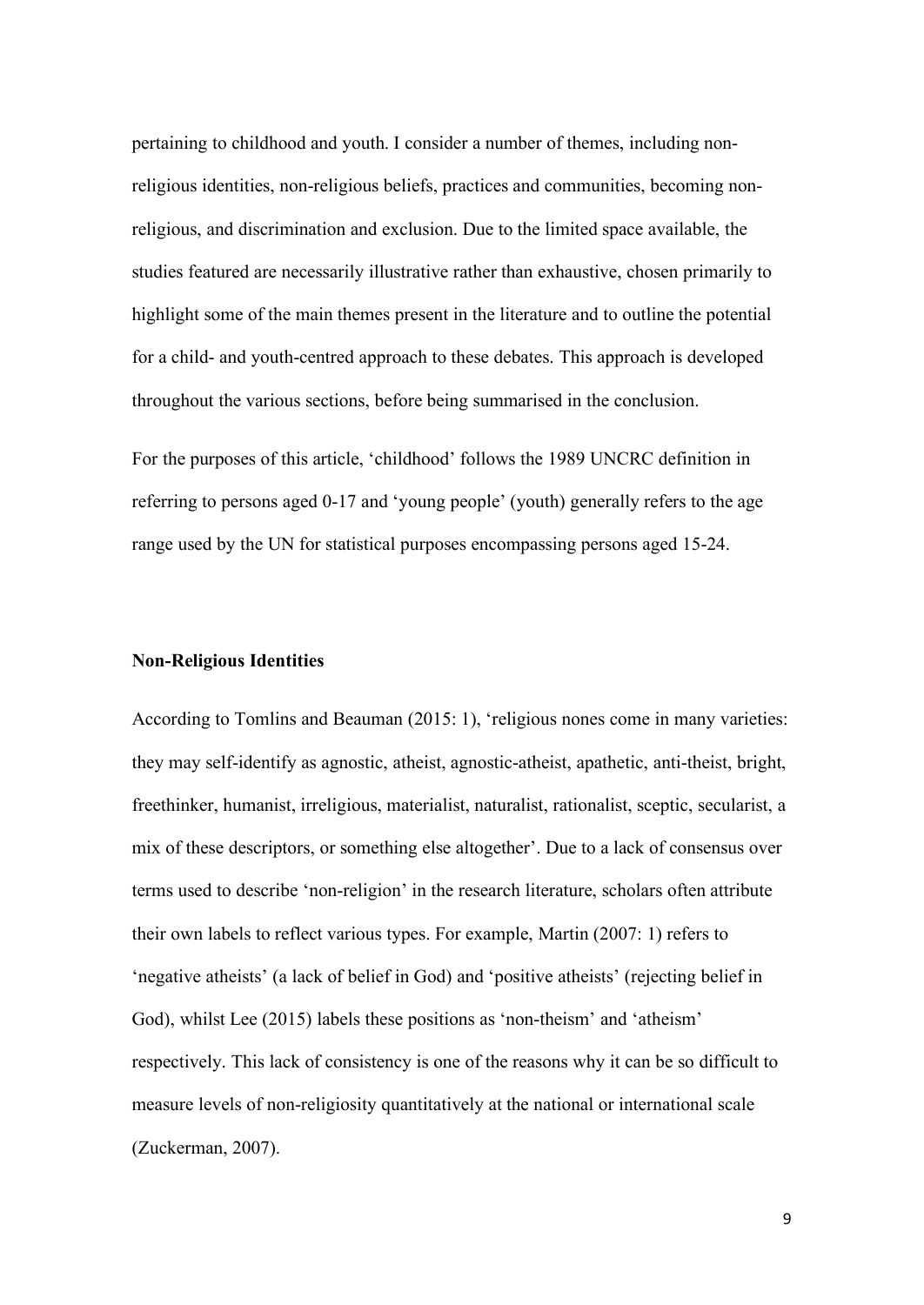pertaining to childhood and youth. I consider a number of themes, including nonreligious identities, non-religious beliefs, practices and communities, becoming nonreligious, and discrimination and exclusion. Due to the limited space available, the studies featured are necessarily illustrative rather than exhaustive, chosen primarily to highlight some of the main themes present in the literature and to outline the potential for a child- and youth-centred approach to these debates. This approach is developed throughout the various sections, before being summarised in the conclusion.

For the purposes of this article, 'childhood' follows the 1989 UNCRC definition in referring to persons aged 0-17 and 'young people' (youth) generally refers to the age range used by the UN for statistical purposes encompassing persons aged 15-24.

#### **Non-Religious Identities**

According to Tomlins and Beauman (2015: 1), 'religious nones come in many varieties: they may self-identify as agnostic, atheist, agnostic-atheist, apathetic, anti-theist, bright, freethinker, humanist, irreligious, materialist, naturalist, rationalist, sceptic, secularist, a mix of these descriptors, or something else altogether'. Due to a lack of consensus over terms used to describe 'non-religion' in the research literature, scholars often attribute their own labels to reflect various types. For example, Martin (2007: 1) refers to 'negative atheists' (a lack of belief in God) and 'positive atheists' (rejecting belief in God), whilst Lee (2015) labels these positions as 'non-theism' and 'atheism' respectively. This lack of consistency is one of the reasons why it can be so difficult to measure levels of non-religiosity quantitatively at the national or international scale (Zuckerman, 2007).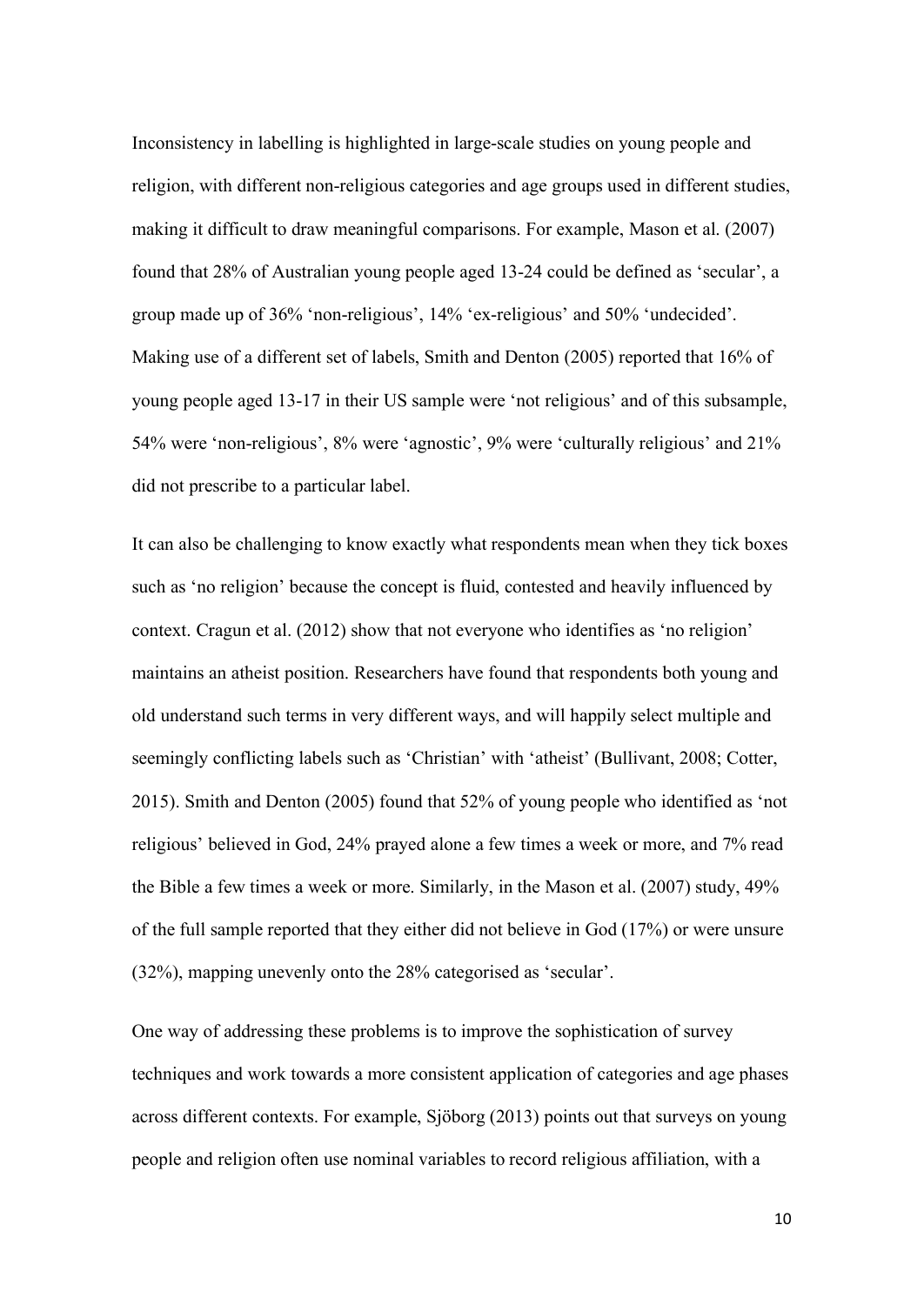Inconsistency in labelling is highlighted in large-scale studies on young people and religion, with different non-religious categories and age groups used in different studies, making it difficult to draw meaningful comparisons. For example, Mason et al. (2007) found that 28% of Australian young people aged 13-24 could be defined as 'secular', a group made up of 36% 'non-religious', 14% 'ex-religious' and 50% 'undecided'. Making use of a different set of labels, Smith and Denton (2005) reported that 16% of young people aged 13-17 in their US sample were 'not religious' and of this subsample, 54% were 'non-religious', 8% were 'agnostic', 9% were 'culturally religious' and 21% did not prescribe to a particular label.

It can also be challenging to know exactly what respondents mean when they tick boxes such as 'no religion' because the concept is fluid, contested and heavily influenced by context. Cragun et al. (2012) show that not everyone who identifies as 'no religion' maintains an atheist position. Researchers have found that respondents both young and old understand such terms in very different ways, and will happily select multiple and seemingly conflicting labels such as 'Christian' with 'atheist' (Bullivant, 2008; Cotter, 2015). Smith and Denton (2005) found that 52% of young people who identified as 'not religious' believed in God, 24% prayed alone a few times a week or more, and 7% read the Bible a few times a week or more. Similarly, in the Mason et al. (2007) study, 49% of the full sample reported that they either did not believe in God (17%) or were unsure (32%), mapping unevenly onto the 28% categorised as 'secular'.

One way of addressing these problems is to improve the sophistication of survey techniques and work towards a more consistent application of categories and age phases across different contexts. For example, Sjöborg (2013) points out that surveys on young people and religion often use nominal variables to record religious affiliation, with a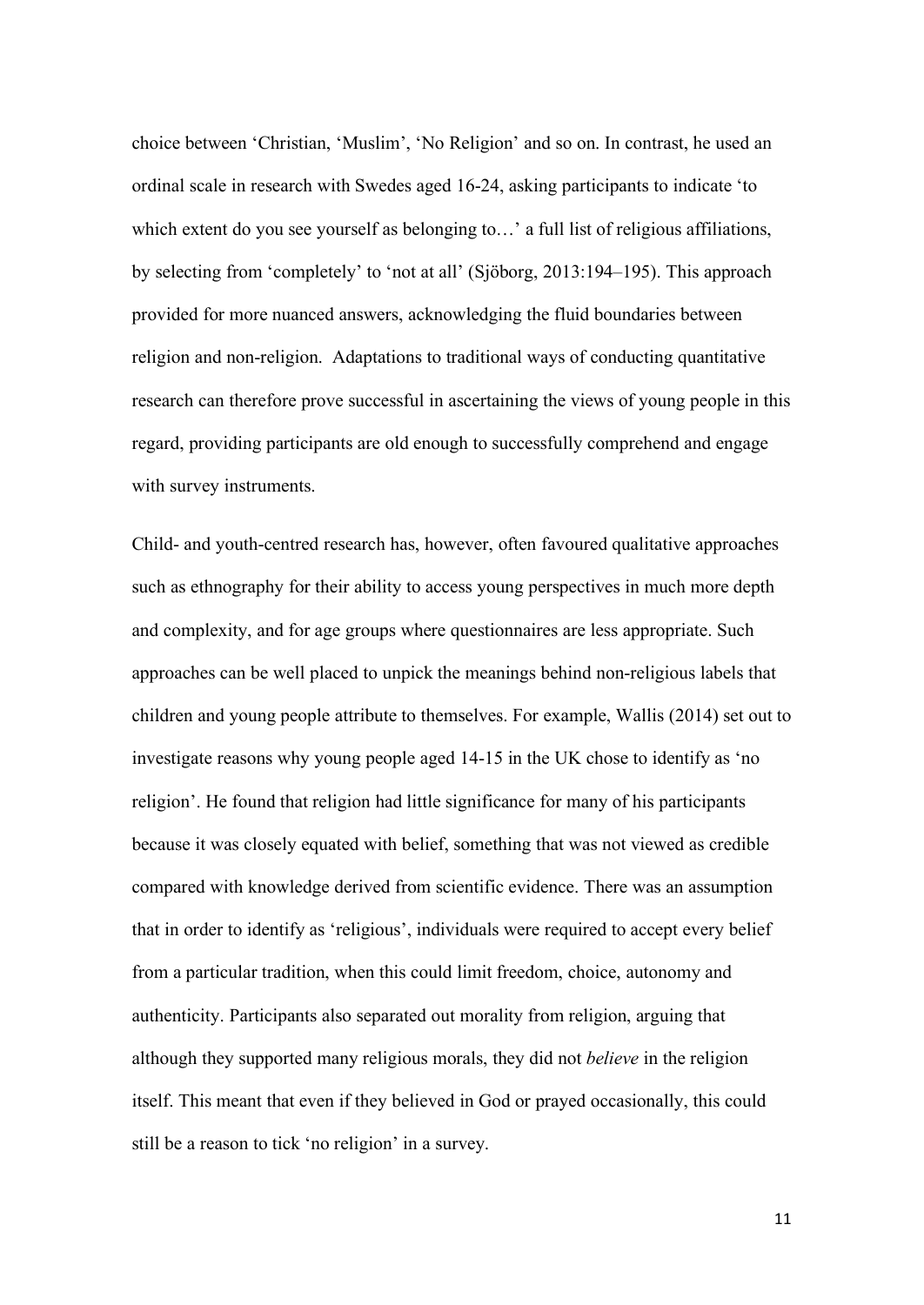choice between 'Christian, 'Muslim', 'No Religion' and so on. In contrast, he used an ordinal scale in research with Swedes aged 16-24, asking participants to indicate 'to which extent do you see yourself as belonging to...' a full list of religious affiliations, by selecting from 'completely' to 'not at all' (Sjöborg, 2013:194–195). This approach provided for more nuanced answers, acknowledging the fluid boundaries between religion and non-religion. Adaptations to traditional ways of conducting quantitative research can therefore prove successful in ascertaining the views of young people in this regard, providing participants are old enough to successfully comprehend and engage with survey instruments.

Child- and youth-centred research has, however, often favoured qualitative approaches such as ethnography for their ability to access young perspectives in much more depth and complexity, and for age groups where questionnaires are less appropriate. Such approaches can be well placed to unpick the meanings behind non-religious labels that children and young people attribute to themselves. For example, Wallis (2014) set out to investigate reasons why young people aged 14-15 in the UK chose to identify as 'no religion'. He found that religion had little significance for many of his participants because it was closely equated with belief, something that was not viewed as credible compared with knowledge derived from scientific evidence. There was an assumption that in order to identify as 'religious', individuals were required to accept every belief from a particular tradition, when this could limit freedom, choice, autonomy and authenticity. Participants also separated out morality from religion, arguing that although they supported many religious morals, they did not *believe* in the religion itself. This meant that even if they believed in God or prayed occasionally, this could still be a reason to tick 'no religion' in a survey.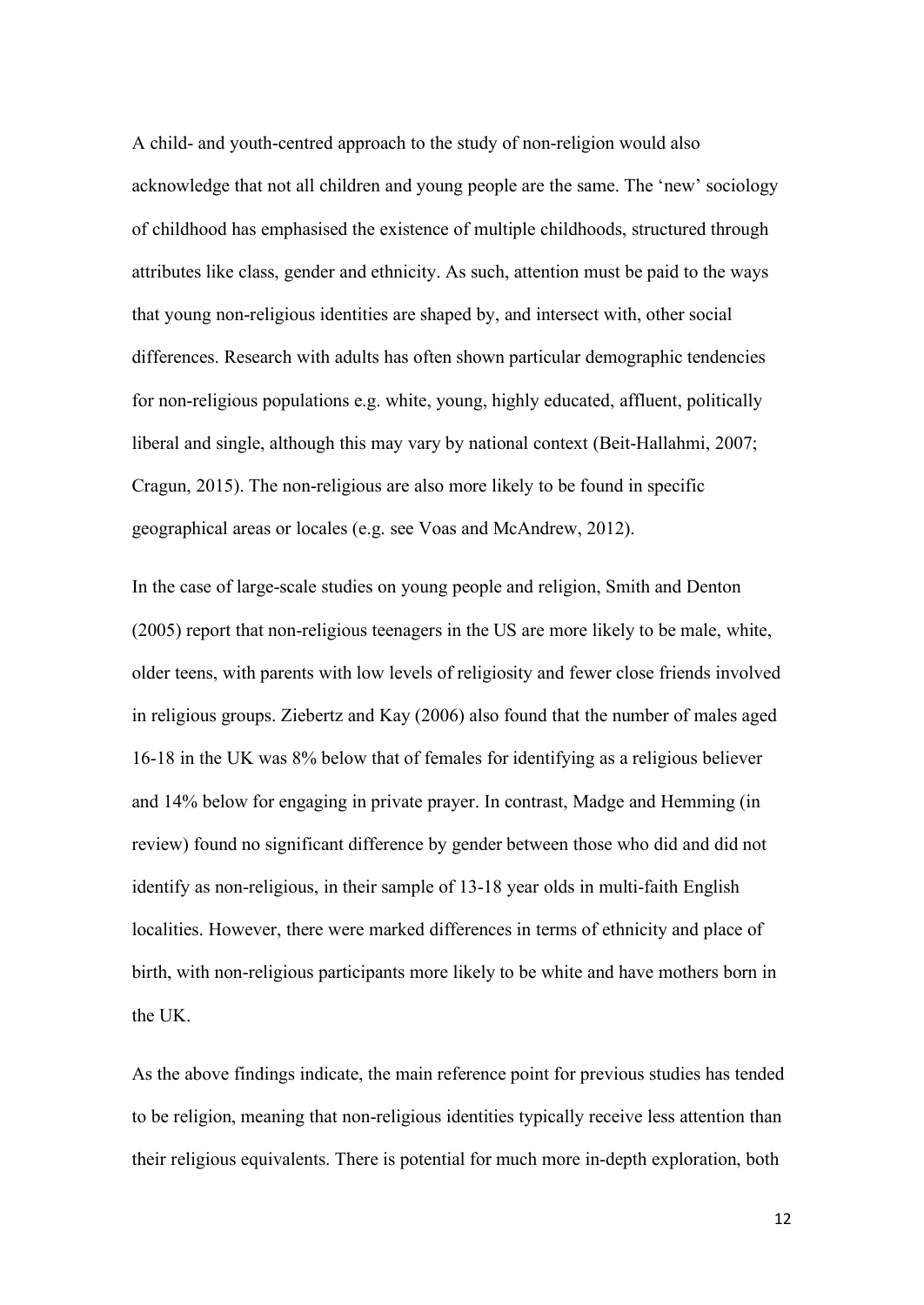A child- and youth-centred approach to the study of non-religion would also acknowledge that not all children and young people are the same. The 'new' sociology of childhood has emphasised the existence of multiple childhoods, structured through attributes like class, gender and ethnicity. As such, attention must be paid to the ways that young non-religious identities are shaped by, and intersect with, other social differences. Research with adults has often shown particular demographic tendencies for non-religious populations e.g. white, young, highly educated, affluent, politically liberal and single, although this may vary by national context (Beit-Hallahmi, 2007; Cragun, 2015). The non-religious are also more likely to be found in specific geographical areas or locales (e.g. see Voas and McAndrew, 2012).

In the case of large-scale studies on young people and religion, Smith and Denton (2005) report that non-religious teenagers in the US are more likely to be male, white, older teens, with parents with low levels of religiosity and fewer close friends involved in religious groups. Ziebertz and Kay (2006) also found that the number of males aged 16-18 in the UK was 8% below that of females for identifying as a religious believer and 14% below for engaging in private prayer. In contrast, Madge and Hemming (in review) found no significant difference by gender between those who did and did not identify as non-religious, in their sample of 13-18 year olds in multi-faith English localities. However, there were marked differences in terms of ethnicity and place of birth, with non-religious participants more likely to be white and have mothers born in the UK.

As the above findings indicate, the main reference point for previous studies has tended to be religion, meaning that non-religious identities typically receive less attention than their religious equivalents. There is potential for much more in-depth exploration, both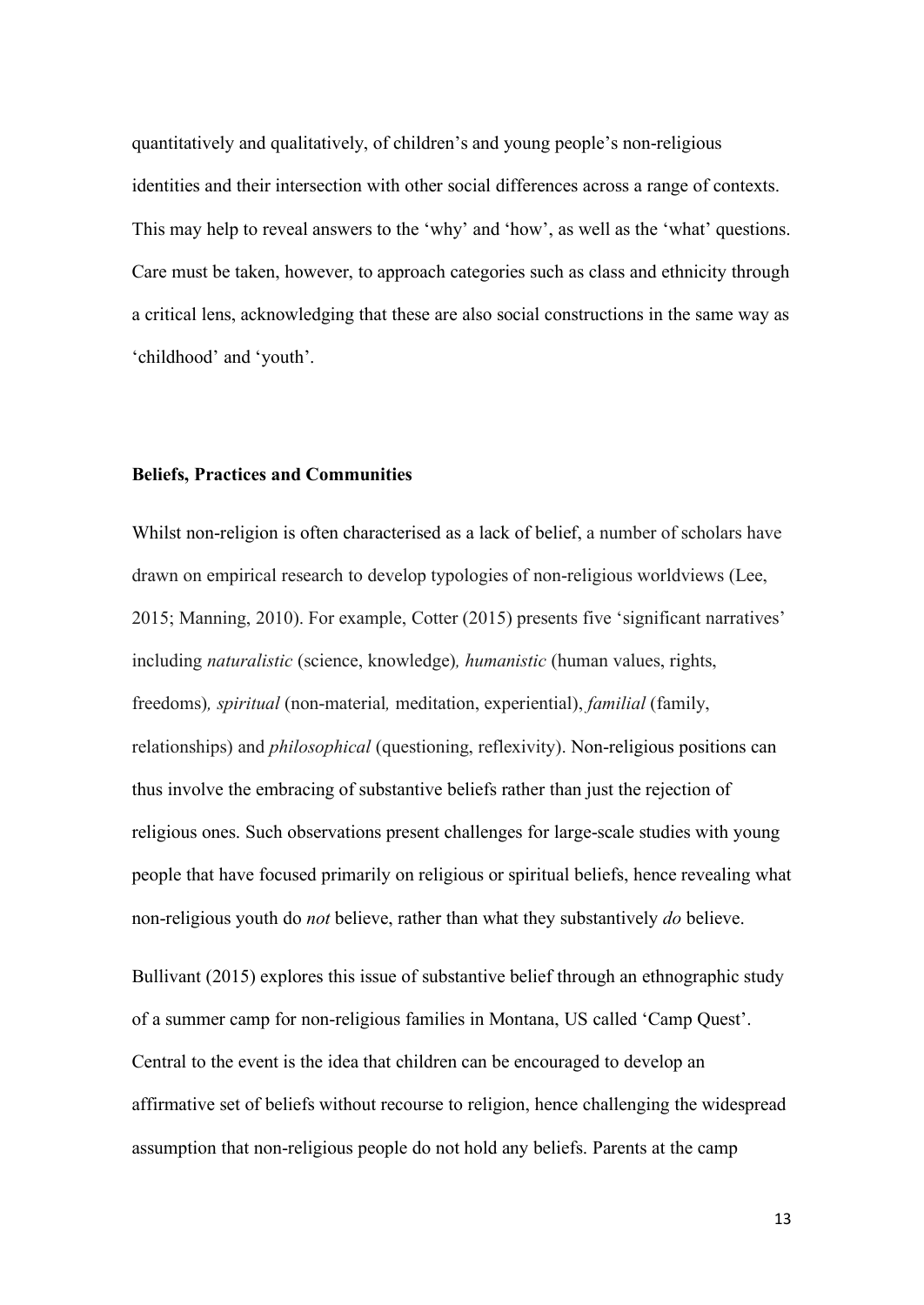quantitatively and qualitatively, of children's and young people's non-religious identities and their intersection with other social differences across a range of contexts. This may help to reveal answers to the 'why' and 'how', as well as the 'what' questions. Care must be taken, however, to approach categories such as class and ethnicity through a critical lens, acknowledging that these are also social constructions in the same way as 'childhood' and 'youth'.

#### **Beliefs, Practices and Communities**

Whilst non-religion is often characterised as a lack of belief, a number of scholars have drawn on empirical research to develop typologies of non-religious worldviews (Lee, 2015; Manning, 2010). For example, Cotter (2015) presents five 'significant narratives' including *naturalistic* (science, knowledge)*, humanistic* (human values, rights, freedoms)*, spiritual* (non-material*,* meditation, experiential), *familial* (family, relationships) and *philosophical* (questioning, reflexivity). Non-religious positions can thus involve the embracing of substantive beliefs rather than just the rejection of religious ones. Such observations present challenges for large-scale studies with young people that have focused primarily on religious or spiritual beliefs, hence revealing what non-religious youth do *not* believe, rather than what they substantively *do* believe.

Bullivant (2015) explores this issue of substantive belief through an ethnographic study of a summer camp for non-religious families in Montana, US called 'Camp Quest'. Central to the event is the idea that children can be encouraged to develop an affirmative set of beliefs without recourse to religion, hence challenging the widespread assumption that non-religious people do not hold any beliefs. Parents at the camp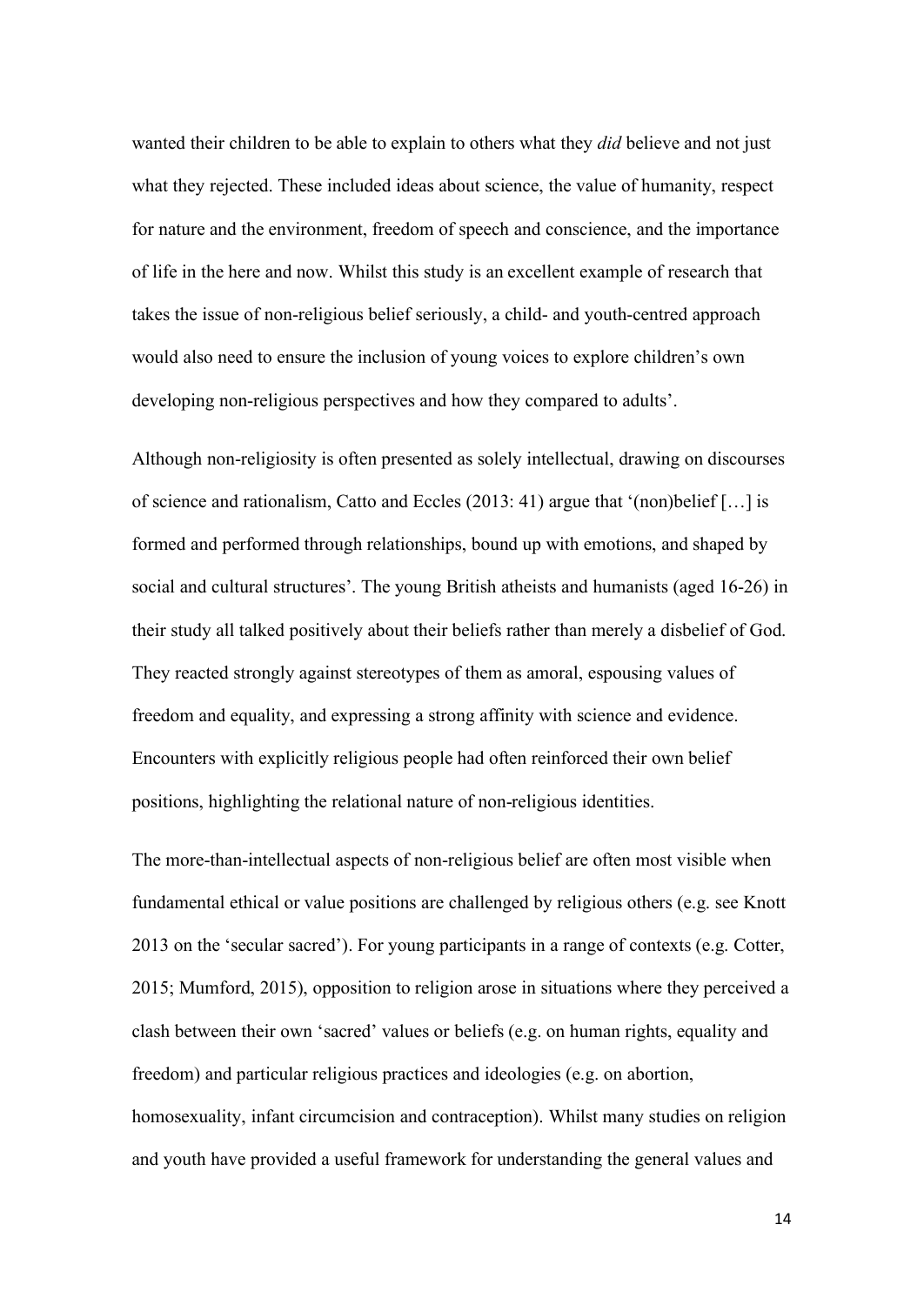wanted their children to be able to explain to others what they *did* believe and not just what they rejected. These included ideas about science, the value of humanity, respect for nature and the environment, freedom of speech and conscience, and the importance of life in the here and now. Whilst this study is an excellent example of research that takes the issue of non-religious belief seriously, a child- and youth-centred approach would also need to ensure the inclusion of young voices to explore children's own developing non-religious perspectives and how they compared to adults'.

Although non-religiosity is often presented as solely intellectual, drawing on discourses of science and rationalism, Catto and Eccles (2013: 41) argue that '(non)belief […] is formed and performed through relationships, bound up with emotions, and shaped by social and cultural structures'. The young British atheists and humanists (aged 16-26) in their study all talked positively about their beliefs rather than merely a disbelief of God. They reacted strongly against stereotypes of them as amoral, espousing values of freedom and equality, and expressing a strong affinity with science and evidence. Encounters with explicitly religious people had often reinforced their own belief positions, highlighting the relational nature of non-religious identities.

The more-than-intellectual aspects of non-religious belief are often most visible when fundamental ethical or value positions are challenged by religious others (e.g. see Knott 2013 on the 'secular sacred'). For young participants in a range of contexts (e.g. Cotter, 2015; Mumford, 2015), opposition to religion arose in situations where they perceived a clash between their own 'sacred' values or beliefs (e.g. on human rights, equality and freedom) and particular religious practices and ideologies (e.g. on abortion, homosexuality, infant circumcision and contraception). Whilst many studies on religion and youth have provided a useful framework for understanding the general values and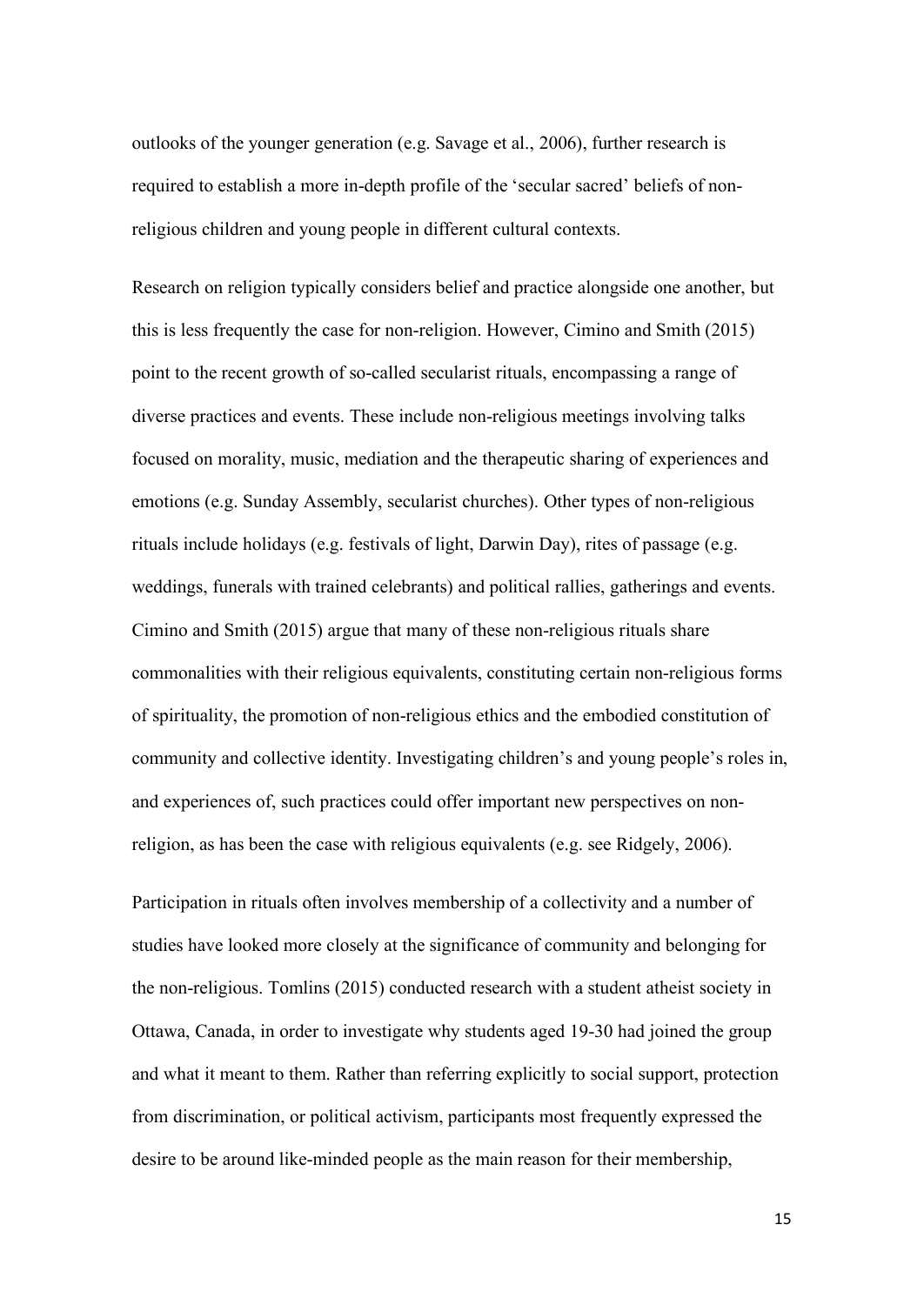outlooks of the younger generation (e.g. Savage et al., 2006), further research is required to establish a more in-depth profile of the 'secular sacred' beliefs of nonreligious children and young people in different cultural contexts.

Research on religion typically considers belief and practice alongside one another, but this is less frequently the case for non-religion. However, Cimino and Smith (2015) point to the recent growth of so-called secularist rituals, encompassing a range of diverse practices and events. These include non-religious meetings involving talks focused on morality, music, mediation and the therapeutic sharing of experiences and emotions (e.g. Sunday Assembly, secularist churches). Other types of non-religious rituals include holidays (e.g. festivals of light, Darwin Day), rites of passage (e.g. weddings, funerals with trained celebrants) and political rallies, gatherings and events. Cimino and Smith (2015) argue that many of these non-religious rituals share commonalities with their religious equivalents, constituting certain non-religious forms of spirituality, the promotion of non-religious ethics and the embodied constitution of community and collective identity. Investigating children's and young people's roles in, and experiences of, such practices could offer important new perspectives on nonreligion, as has been the case with religious equivalents (e.g. see Ridgely, 2006).

Participation in rituals often involves membership of a collectivity and a number of studies have looked more closely at the significance of community and belonging for the non-religious. Tomlins (2015) conducted research with a student atheist society in Ottawa, Canada, in order to investigate why students aged 19-30 had joined the group and what it meant to them. Rather than referring explicitly to social support, protection from discrimination, or political activism, participants most frequently expressed the desire to be around like-minded people as the main reason for their membership,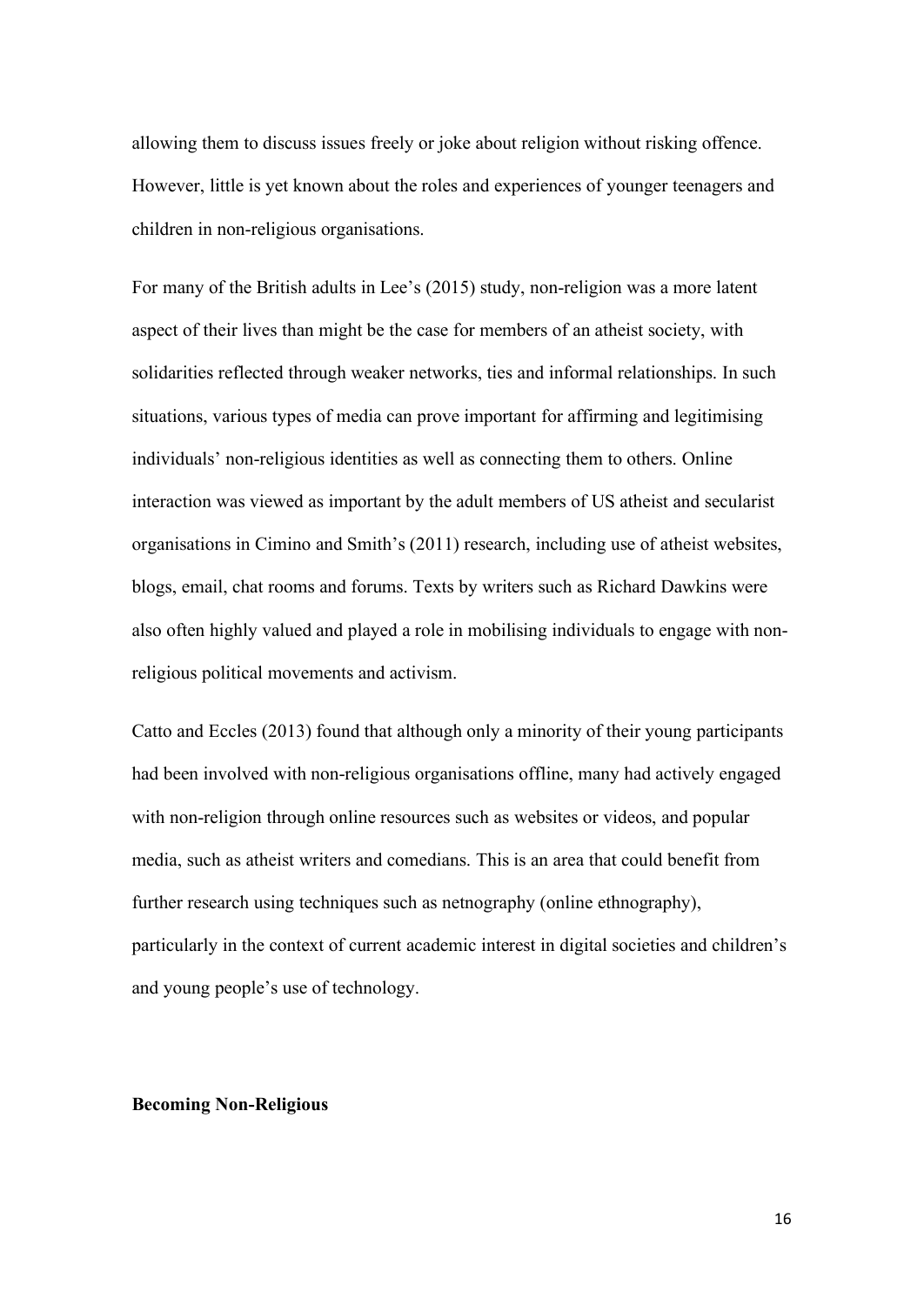allowing them to discuss issues freely or joke about religion without risking offence. However, little is yet known about the roles and experiences of younger teenagers and children in non-religious organisations.

For many of the British adults in Lee's (2015) study, non-religion was a more latent aspect of their lives than might be the case for members of an atheist society, with solidarities reflected through weaker networks, ties and informal relationships. In such situations, various types of media can prove important for affirming and legitimising individuals' non-religious identities as well as connecting them to others. Online interaction was viewed as important by the adult members of US atheist and secularist organisations in Cimino and Smith's (2011) research, including use of atheist websites, blogs, email, chat rooms and forums. Texts by writers such as Richard Dawkins were also often highly valued and played a role in mobilising individuals to engage with nonreligious political movements and activism.

Catto and Eccles (2013) found that although only a minority of their young participants had been involved with non-religious organisations offline, many had actively engaged with non-religion through online resources such as websites or videos, and popular media, such as atheist writers and comedians. This is an area that could benefit from further research using techniques such as netnography (online ethnography), particularly in the context of current academic interest in digital societies and children's and young people's use of technology.

#### **Becoming Non-Religious**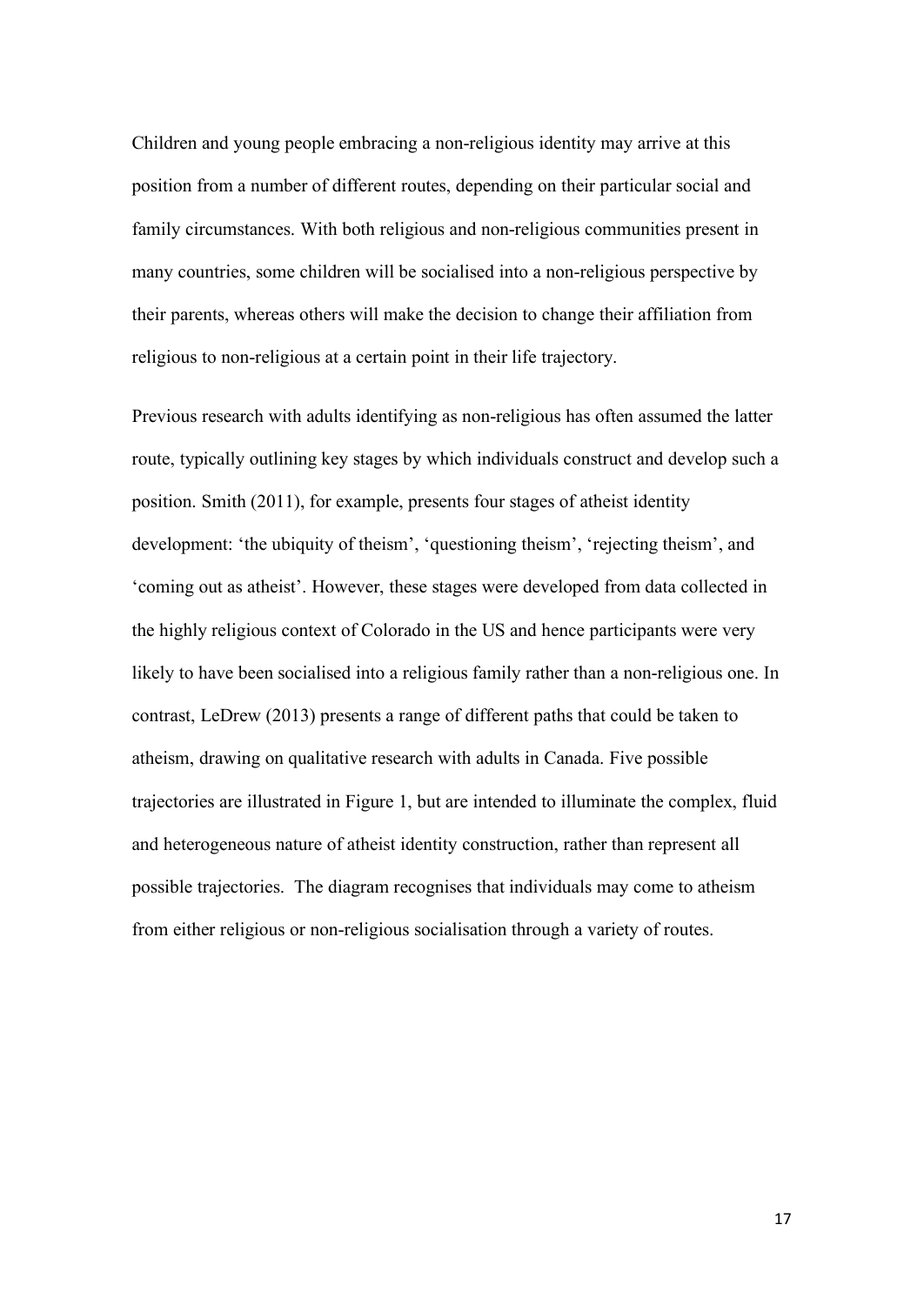Children and young people embracing a non-religious identity may arrive at this position from a number of different routes, depending on their particular social and family circumstances. With both religious and non-religious communities present in many countries, some children will be socialised into a non-religious perspective by their parents, whereas others will make the decision to change their affiliation from religious to non-religious at a certain point in their life trajectory.

Previous research with adults identifying as non-religious has often assumed the latter route, typically outlining key stages by which individuals construct and develop such a position. Smith (2011), for example, presents four stages of atheist identity development: 'the ubiquity of theism', 'questioning theism', 'rejecting theism', and 'coming out as atheist'. However, these stages were developed from data collected in the highly religious context of Colorado in the US and hence participants were very likely to have been socialised into a religious family rather than a non-religious one. In contrast, LeDrew (2013) presents a range of different paths that could be taken to atheism, drawing on qualitative research with adults in Canada. Five possible trajectories are illustrated in Figure 1, but are intended to illuminate the complex, fluid and heterogeneous nature of atheist identity construction, rather than represent all possible trajectories. The diagram recognises that individuals may come to atheism from either religious or non-religious socialisation through a variety of routes.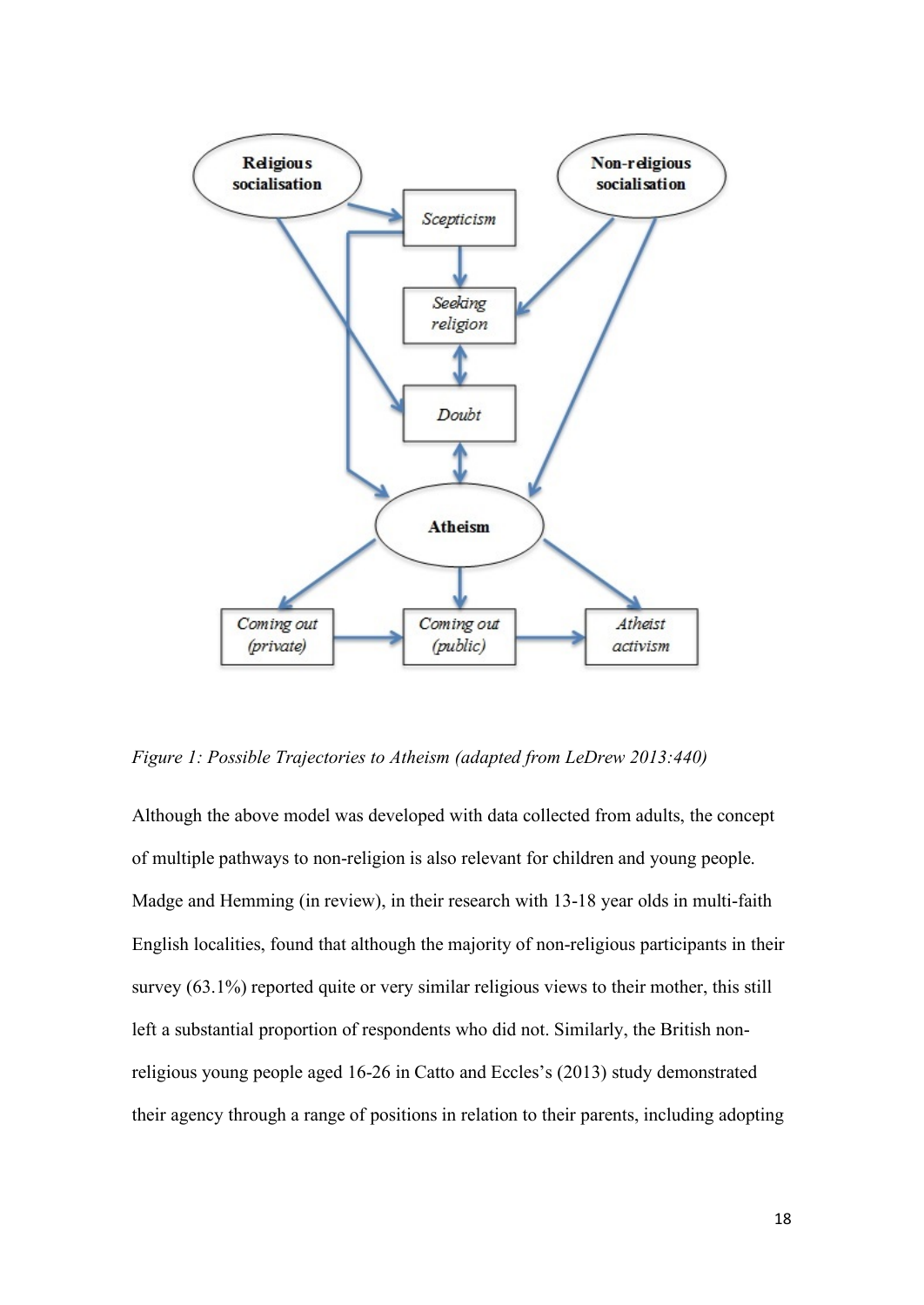

*Figure 1: Possible Trajectories to Atheism (adapted from LeDrew 2013:440)*

Although the above model was developed with data collected from adults, the concept of multiple pathways to non-religion is also relevant for children and young people. Madge and Hemming (in review), in their research with 13-18 year olds in multi-faith English localities, found that although the majority of non-religious participants in their survey (63.1%) reported quite or very similar religious views to their mother, this still left a substantial proportion of respondents who did not. Similarly, the British nonreligious young people aged 16-26 in Catto and Eccles's (2013) study demonstrated their agency through a range of positions in relation to their parents, including adopting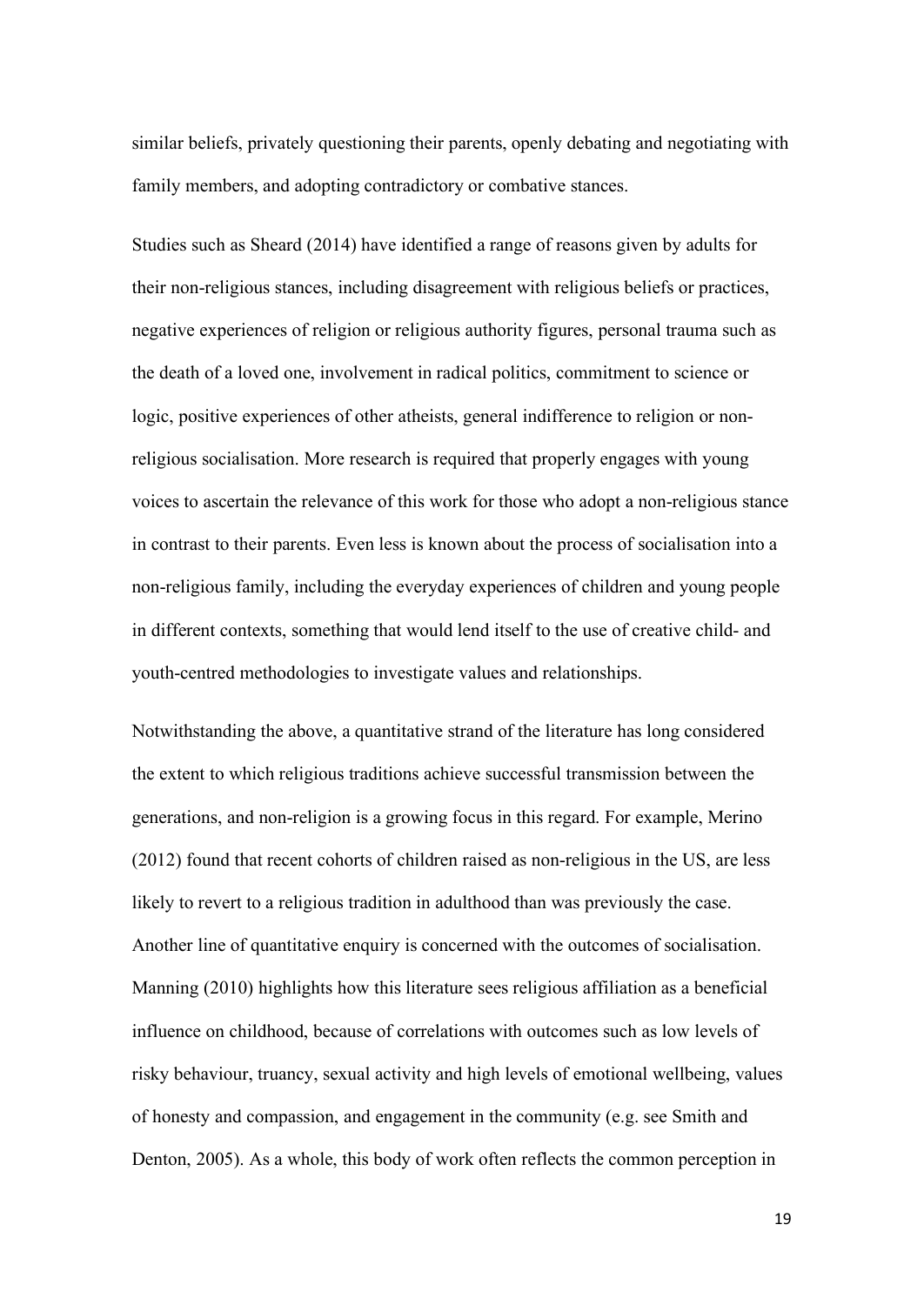similar beliefs, privately questioning their parents, openly debating and negotiating with family members, and adopting contradictory or combative stances.

Studies such as Sheard (2014) have identified a range of reasons given by adults for their non-religious stances, including disagreement with religious beliefs or practices, negative experiences of religion or religious authority figures, personal trauma such as the death of a loved one, involvement in radical politics, commitment to science or logic, positive experiences of other atheists, general indifference to religion or nonreligious socialisation. More research is required that properly engages with young voices to ascertain the relevance of this work for those who adopt a non-religious stance in contrast to their parents. Even less is known about the process of socialisation into a non-religious family, including the everyday experiences of children and young people in different contexts, something that would lend itself to the use of creative child- and youth-centred methodologies to investigate values and relationships.

Notwithstanding the above, a quantitative strand of the literature has long considered the extent to which religious traditions achieve successful transmission between the generations, and non-religion is a growing focus in this regard. For example, Merino (2012) found that recent cohorts of children raised as non-religious in the US, are less likely to revert to a religious tradition in adulthood than was previously the case. Another line of quantitative enquiry is concerned with the outcomes of socialisation. Manning (2010) highlights how this literature sees religious affiliation as a beneficial influence on childhood, because of correlations with outcomes such as low levels of risky behaviour, truancy, sexual activity and high levels of emotional wellbeing, values of honesty and compassion, and engagement in the community (e.g. see Smith and Denton, 2005). As a whole, this body of work often reflects the common perception in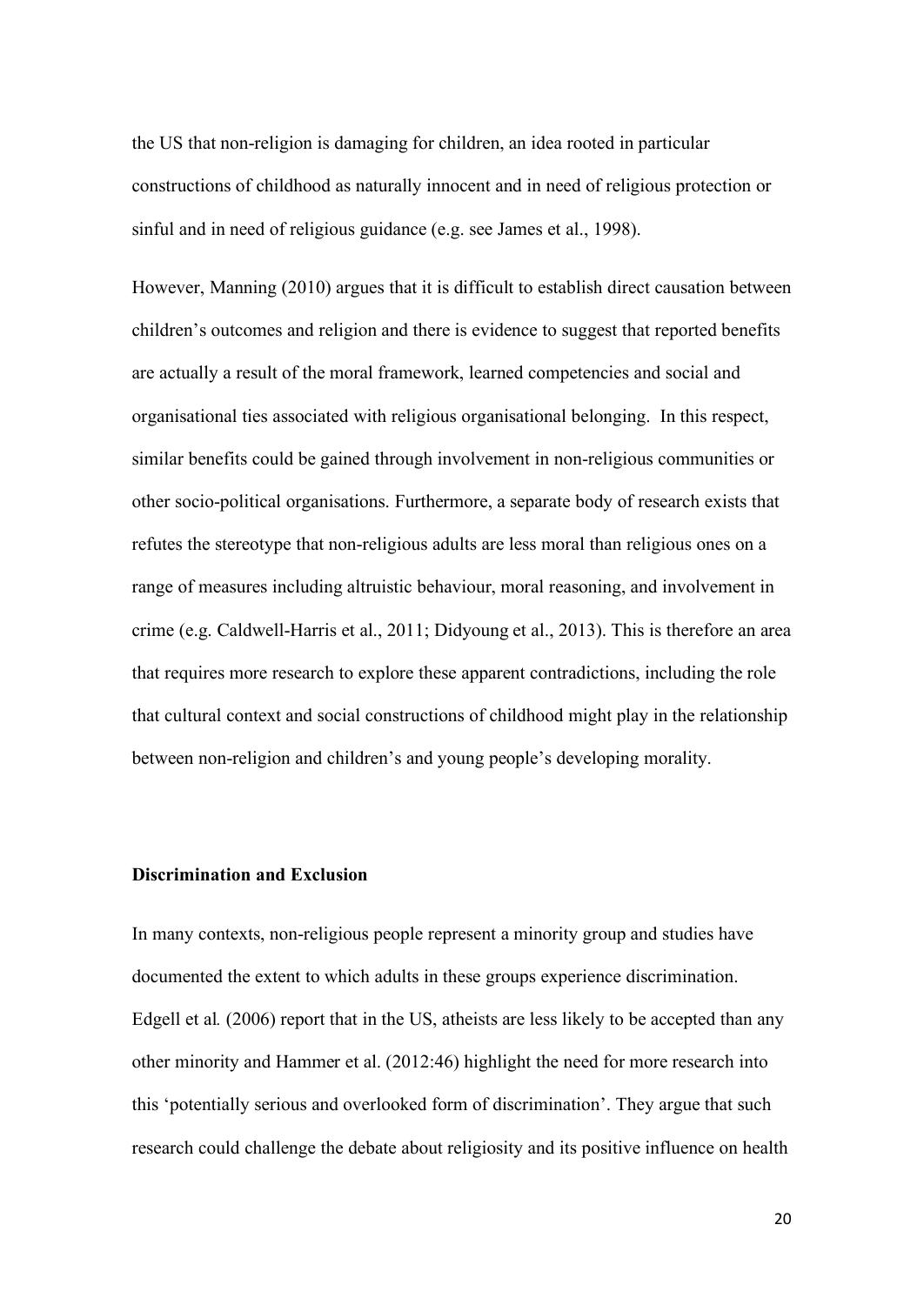the US that non-religion is damaging for children, an idea rooted in particular constructions of childhood as naturally innocent and in need of religious protection or sinful and in need of religious guidance (e.g. see James et al., 1998).

However, Manning (2010) argues that it is difficult to establish direct causation between children's outcomes and religion and there is evidence to suggest that reported benefits are actually a result of the moral framework, learned competencies and social and organisational ties associated with religious organisational belonging. In this respect, similar benefits could be gained through involvement in non-religious communities or other socio-political organisations. Furthermore, a separate body of research exists that refutes the stereotype that non-religious adults are less moral than religious ones on a range of measures including altruistic behaviour, moral reasoning, and involvement in crime (e.g. Caldwell-Harris et al., 2011; Didyoung et al., 2013). This is therefore an area that requires more research to explore these apparent contradictions, including the role that cultural context and social constructions of childhood might play in the relationship between non-religion and children's and young people's developing morality.

#### **Discrimination and Exclusion**

In many contexts, non-religious people represent a minority group and studies have documented the extent to which adults in these groups experience discrimination. Edgell et al*.* (2006) report that in the US, atheists are less likely to be accepted than any other minority and Hammer et al. (2012:46) highlight the need for more research into this 'potentially serious and overlooked form of discrimination'. They argue that such research could challenge the debate about religiosity and its positive influence on health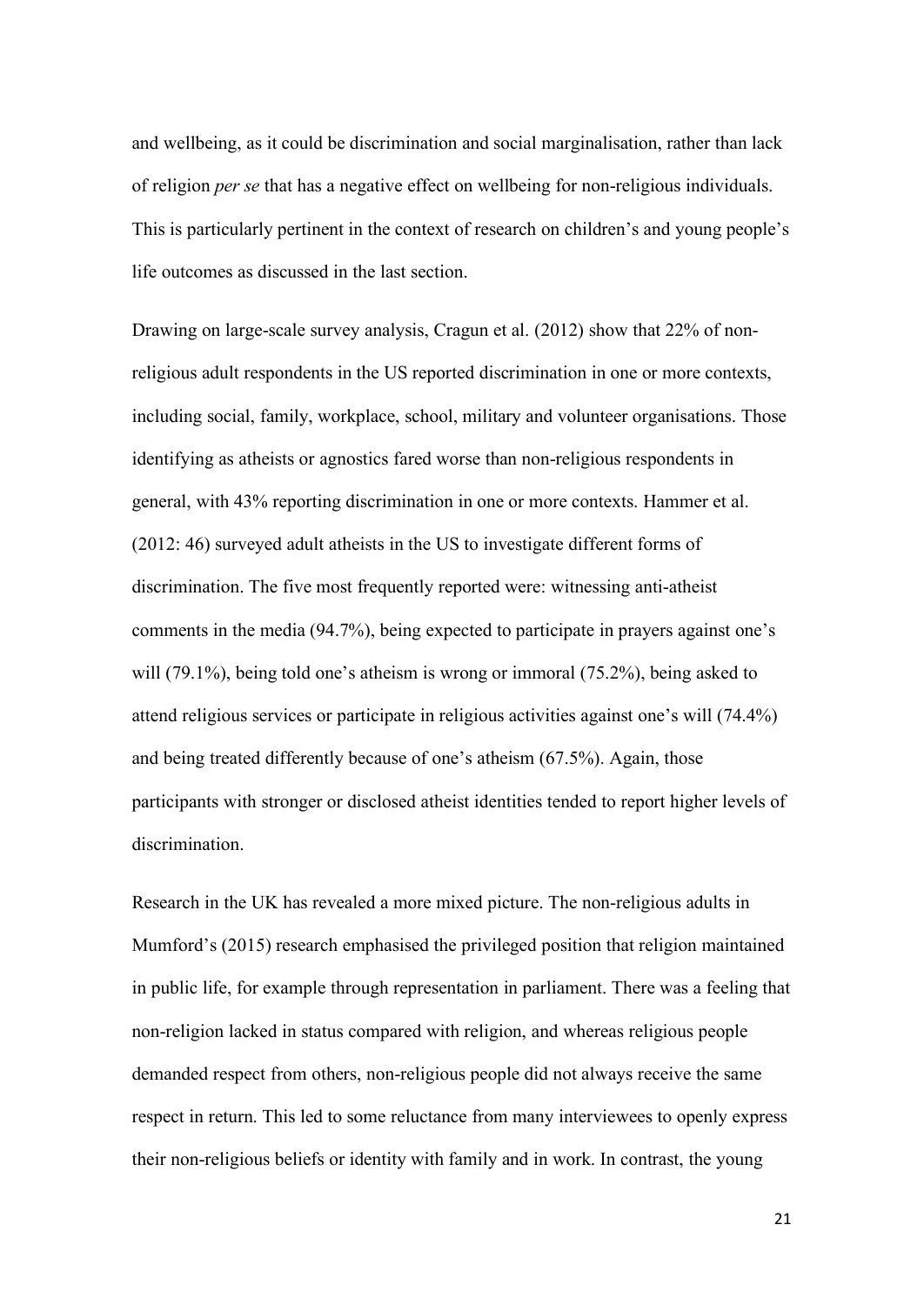and wellbeing, as it could be discrimination and social marginalisation, rather than lack of religion *per se* that has a negative effect on wellbeing for non-religious individuals. This is particularly pertinent in the context of research on children's and young people's life outcomes as discussed in the last section.

Drawing on large-scale survey analysis, Cragun et al. (2012) show that 22% of nonreligious adult respondents in the US reported discrimination in one or more contexts, including social, family, workplace, school, military and volunteer organisations. Those identifying as atheists or agnostics fared worse than non-religious respondents in general, with 43% reporting discrimination in one or more contexts. Hammer et al. (2012: 46) surveyed adult atheists in the US to investigate different forms of discrimination. The five most frequently reported were: witnessing anti-atheist comments in the media (94.7%), being expected to participate in prayers against one's will (79.1%), being told one's atheism is wrong or immoral (75.2%), being asked to attend religious services or participate in religious activities against one's will (74.4%) and being treated differently because of one's atheism (67.5%). Again, those participants with stronger or disclosed atheist identities tended to report higher levels of discrimination.

Research in the UK has revealed a more mixed picture. The non-religious adults in Mumford's (2015) research emphasised the privileged position that religion maintained in public life, for example through representation in parliament. There was a feeling that non-religion lacked in status compared with religion, and whereas religious people demanded respect from others, non-religious people did not always receive the same respect in return. This led to some reluctance from many interviewees to openly express their non-religious beliefs or identity with family and in work. In contrast, the young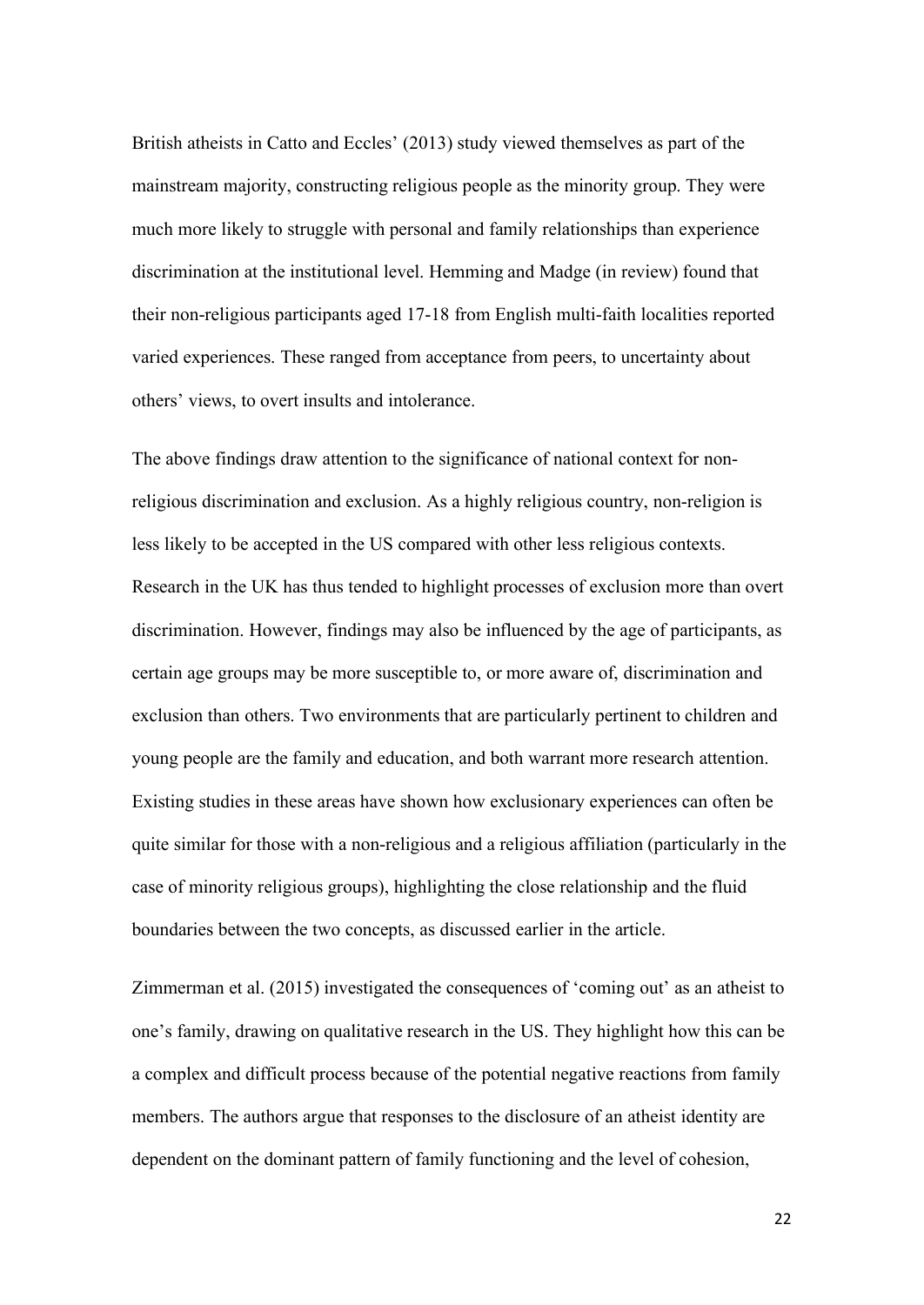British atheists in Catto and Eccles' (2013) study viewed themselves as part of the mainstream majority, constructing religious people as the minority group. They were much more likely to struggle with personal and family relationships than experience discrimination at the institutional level. Hemming and Madge (in review) found that their non-religious participants aged 17-18 from English multi-faith localities reported varied experiences. These ranged from acceptance from peers, to uncertainty about others' views, to overt insults and intolerance.

The above findings draw attention to the significance of national context for nonreligious discrimination and exclusion. As a highly religious country, non-religion is less likely to be accepted in the US compared with other less religious contexts. Research in the UK has thus tended to highlight processes of exclusion more than overt discrimination. However, findings may also be influenced by the age of participants, as certain age groups may be more susceptible to, or more aware of, discrimination and exclusion than others. Two environments that are particularly pertinent to children and young people are the family and education, and both warrant more research attention. Existing studies in these areas have shown how exclusionary experiences can often be quite similar for those with a non-religious and a religious affiliation (particularly in the case of minority religious groups), highlighting the close relationship and the fluid boundaries between the two concepts, as discussed earlier in the article.

Zimmerman et al. (2015) investigated the consequences of 'coming out' as an atheist to one's family, drawing on qualitative research in the US. They highlight how this can be a complex and difficult process because of the potential negative reactions from family members. The authors argue that responses to the disclosure of an atheist identity are dependent on the dominant pattern of family functioning and the level of cohesion,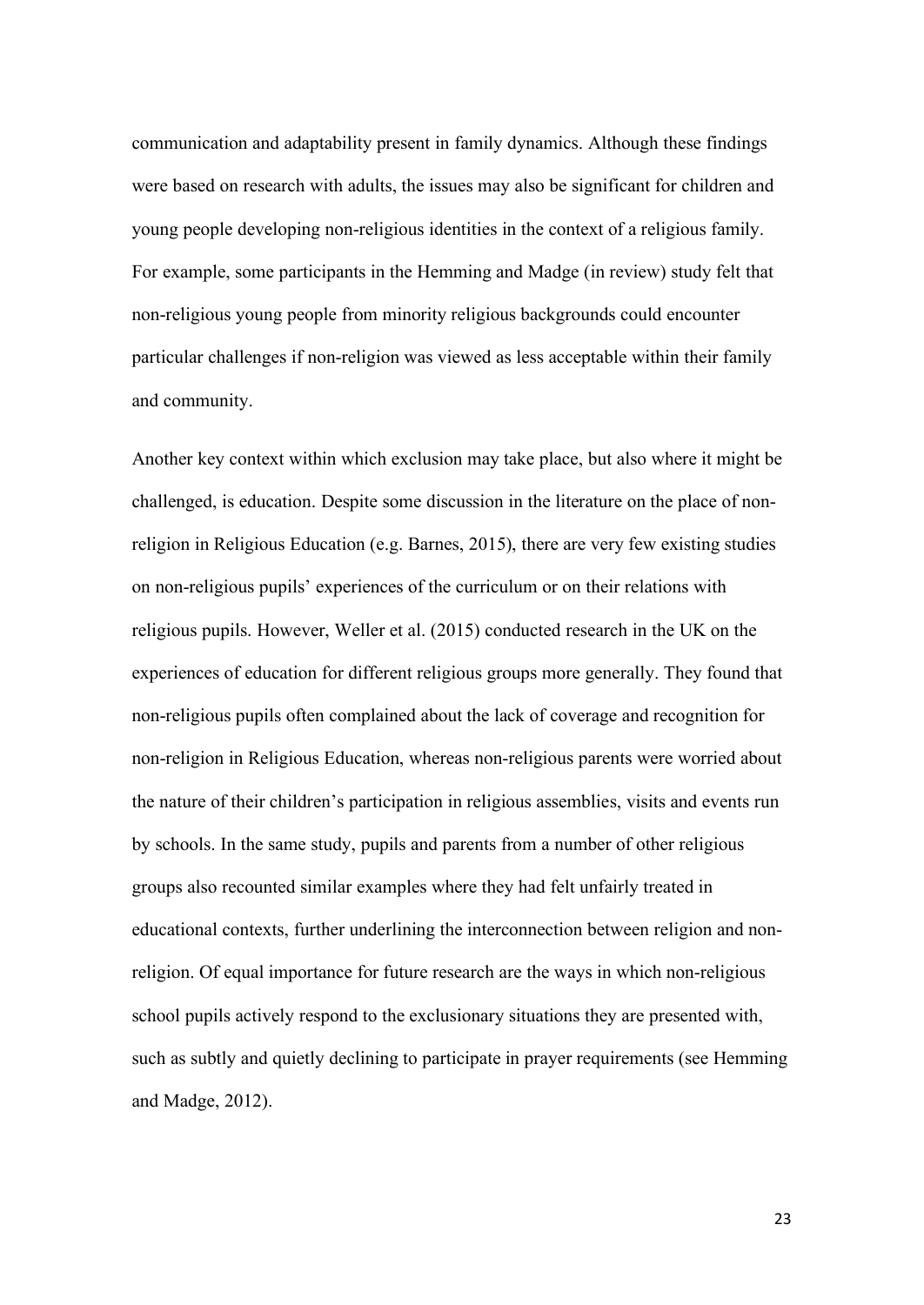communication and adaptability present in family dynamics. Although these findings were based on research with adults, the issues may also be significant for children and young people developing non-religious identities in the context of a religious family. For example, some participants in the Hemming and Madge (in review) study felt that non-religious young people from minority religious backgrounds could encounter particular challenges if non-religion was viewed as less acceptable within their family and community.

Another key context within which exclusion may take place, but also where it might be challenged, is education. Despite some discussion in the literature on the place of nonreligion in Religious Education (e.g. Barnes, 2015), there are very few existing studies on non-religious pupils' experiences of the curriculum or on their relations with religious pupils. However, Weller et al. (2015) conducted research in the UK on the experiences of education for different religious groups more generally. They found that non-religious pupils often complained about the lack of coverage and recognition for non-religion in Religious Education, whereas non-religious parents were worried about the nature of their children's participation in religious assemblies, visits and events run by schools. In the same study, pupils and parents from a number of other religious groups also recounted similar examples where they had felt unfairly treated in educational contexts, further underlining the interconnection between religion and nonreligion. Of equal importance for future research are the ways in which non-religious school pupils actively respond to the exclusionary situations they are presented with, such as subtly and quietly declining to participate in prayer requirements (see Hemming and Madge, 2012).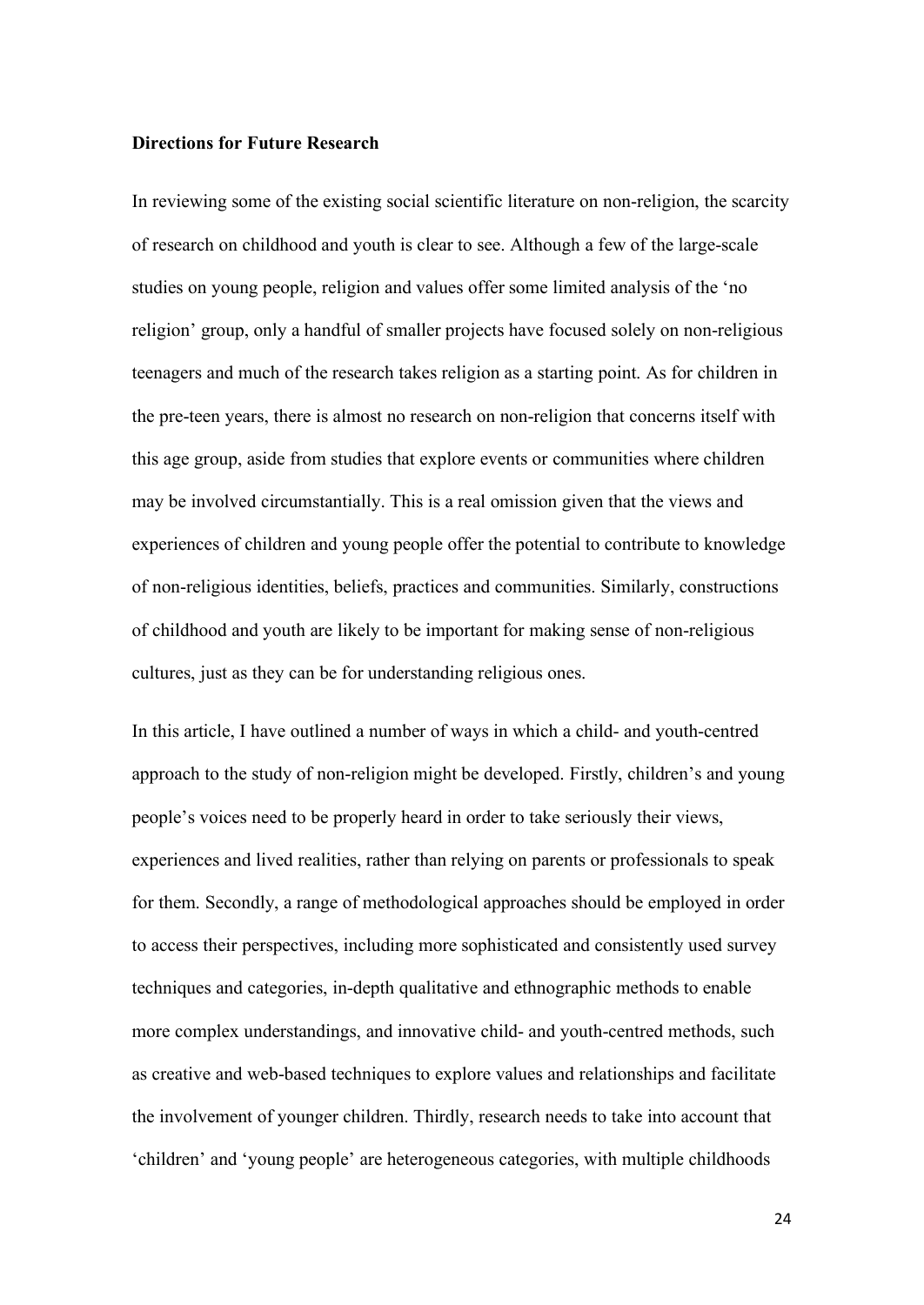### **Directions for Future Research**

In reviewing some of the existing social scientific literature on non-religion, the scarcity of research on childhood and youth is clear to see. Although a few of the large-scale studies on young people, religion and values offer some limited analysis of the 'no religion' group, only a handful of smaller projects have focused solely on non-religious teenagers and much of the research takes religion as a starting point. As for children in the pre-teen years, there is almost no research on non-religion that concerns itself with this age group, aside from studies that explore events or communities where children may be involved circumstantially. This is a real omission given that the views and experiences of children and young people offer the potential to contribute to knowledge of non-religious identities, beliefs, practices and communities. Similarly, constructions of childhood and youth are likely to be important for making sense of non-religious cultures, just as they can be for understanding religious ones.

In this article, I have outlined a number of ways in which a child- and youth-centred approach to the study of non-religion might be developed. Firstly, children's and young people's voices need to be properly heard in order to take seriously their views, experiences and lived realities, rather than relying on parents or professionals to speak for them. Secondly, a range of methodological approaches should be employed in order to access their perspectives, including more sophisticated and consistently used survey techniques and categories, in-depth qualitative and ethnographic methods to enable more complex understandings, and innovative child- and youth-centred methods, such as creative and web-based techniques to explore values and relationships and facilitate the involvement of younger children. Thirdly, research needs to take into account that 'children' and 'young people' are heterogeneous categories, with multiple childhoods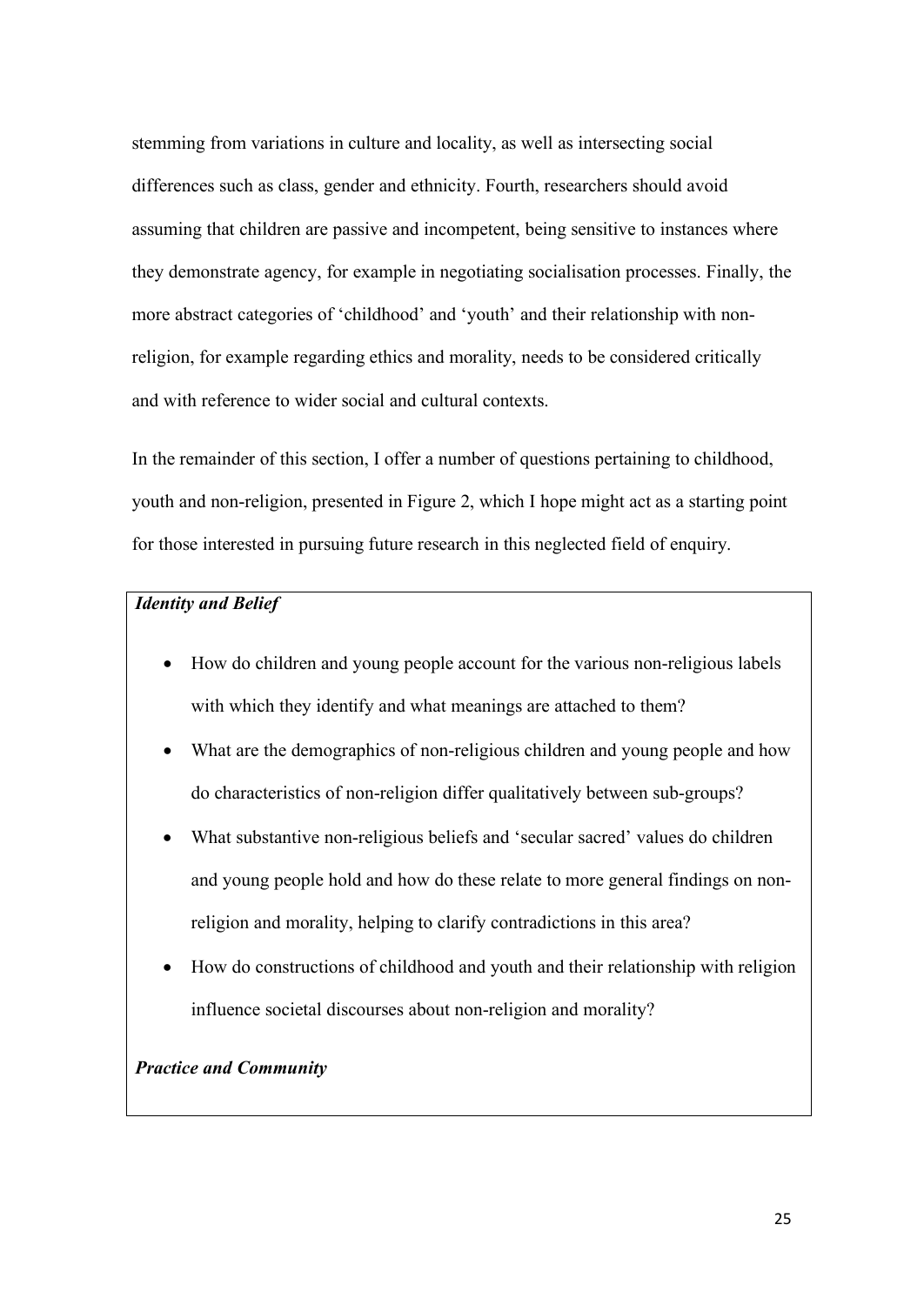stemming from variations in culture and locality, as well as intersecting social differences such as class, gender and ethnicity. Fourth, researchers should avoid assuming that children are passive and incompetent, being sensitive to instances where they demonstrate agency, for example in negotiating socialisation processes. Finally, the more abstract categories of 'childhood' and 'youth' and their relationship with nonreligion, for example regarding ethics and morality, needs to be considered critically and with reference to wider social and cultural contexts.

In the remainder of this section, I offer a number of questions pertaining to childhood, youth and non-religion, presented in Figure 2, which I hope might act as a starting point for those interested in pursuing future research in this neglected field of enquiry.

## *Identity and Belief*

- How do children and young people account for the various non-religious labels with which they identify and what meanings are attached to them?
- What are the demographics of non-religious children and young people and how do characteristics of non-religion differ qualitatively between sub-groups?
- What substantive non-religious beliefs and 'secular sacred' values do children and young people hold and how do these relate to more general findings on nonreligion and morality, helping to clarify contradictions in this area?
- How do constructions of childhood and youth and their relationship with religion influence societal discourses about non-religion and morality?

## *Practice and Community*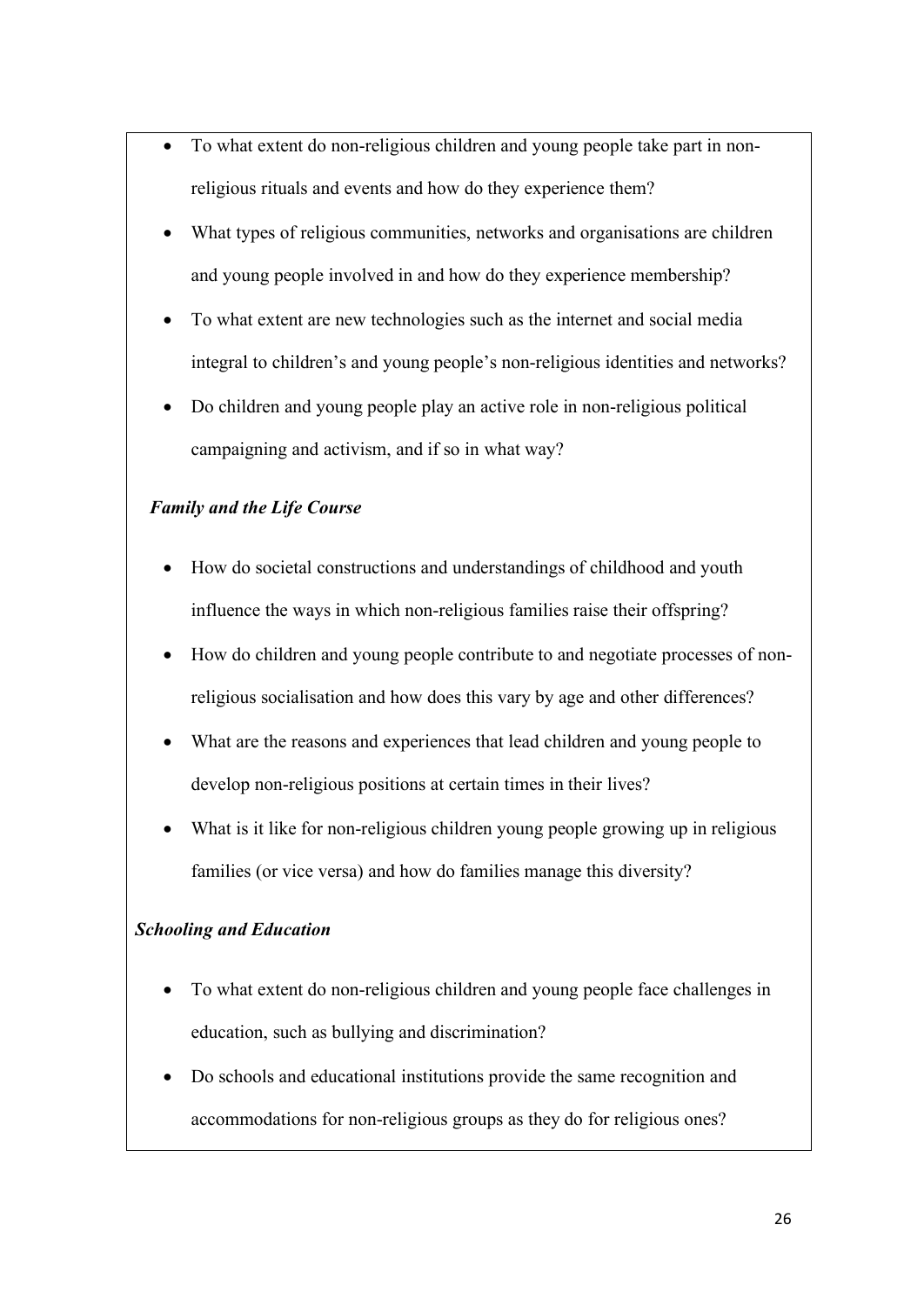- To what extent do non-religious children and young people take part in nonreligious rituals and events and how do they experience them?
- What types of religious communities, networks and organisations are children and young people involved in and how do they experience membership?
- To what extent are new technologies such as the internet and social media integral to children's and young people's non-religious identities and networks?
- Do children and young people play an active role in non-religious political campaigning and activism, and if so in what way?

# *Family and the Life Course*

- How do societal constructions and understandings of childhood and youth influence the ways in which non-religious families raise their offspring?
- How do children and young people contribute to and negotiate processes of nonreligious socialisation and how does this vary by age and other differences?
- What are the reasons and experiences that lead children and young people to develop non-religious positions at certain times in their lives?
- What is it like for non-religious children young people growing up in religious families (or vice versa) and how do families manage this diversity?

# *Schooling and Education*

- To what extent do non-religious children and young people face challenges in education, such as bullying and discrimination?
- Do schools and educational institutions provide the same recognition and accommodations for non-religious groups as they do for religious ones?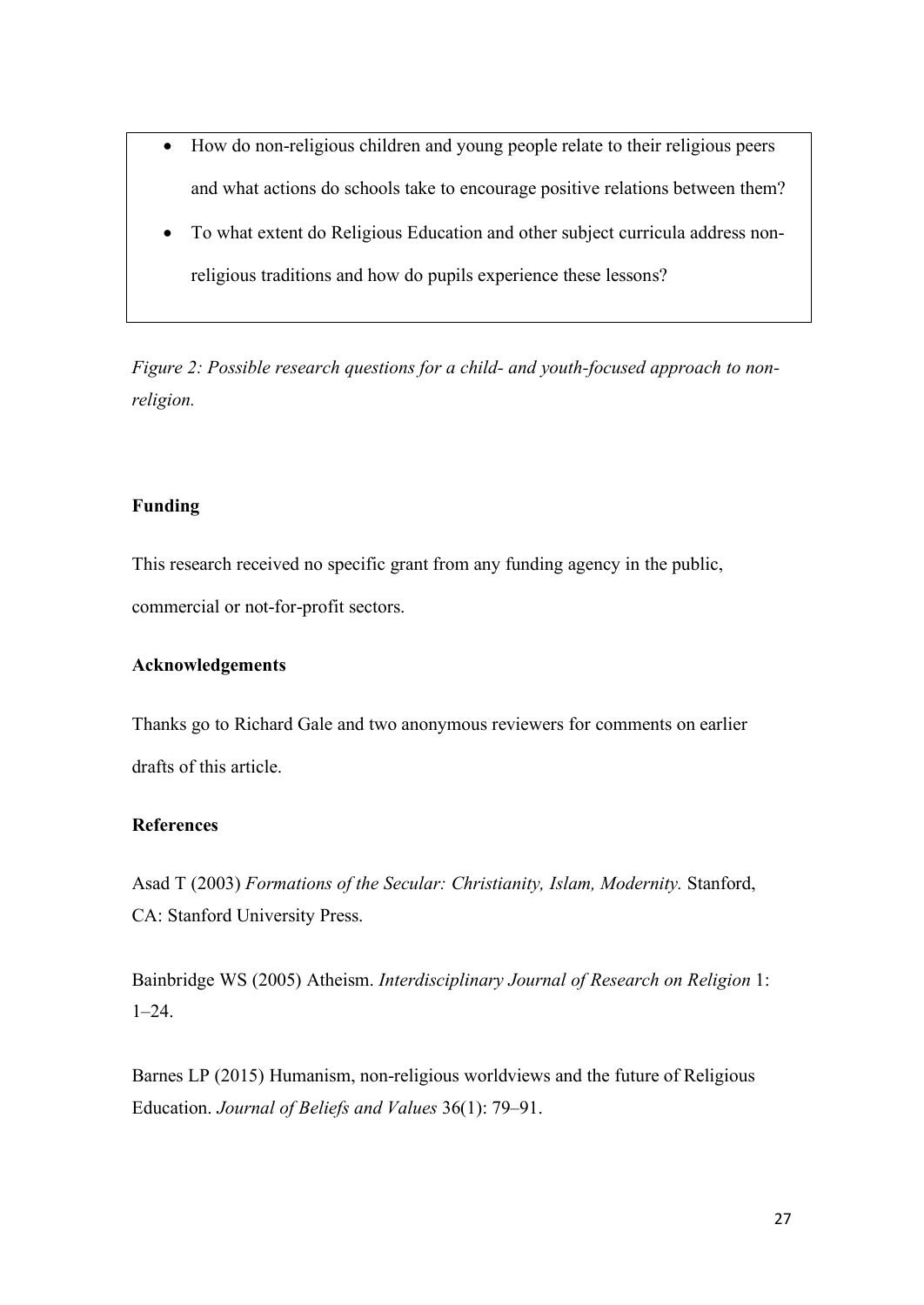- How do non-religious children and young people relate to their religious peers and what actions do schools take to encourage positive relations between them?
- To what extent do Religious Education and other subject curricula address nonreligious traditions and how do pupils experience these lessons?

*Figure 2: Possible research questions for a child- and youth-focused approach to nonreligion.*

## **Funding**

This research received no specific grant from any funding agency in the public, commercial or not-for-profit sectors.

### **Acknowledgements**

Thanks go to Richard Gale and two anonymous reviewers for comments on earlier drafts of this article.

### **References**

Asad T (2003) *Formations of the Secular: Christianity, Islam, Modernity.* Stanford, CA: Stanford University Press.

Bainbridge WS (2005) Atheism. *Interdisciplinary Journal of Research on Religion* 1: 1–24.

Barnes LP (2015) Humanism, non-religious worldviews and the future of Religious Education. *Journal of Beliefs and Values* 36(1): 79–91.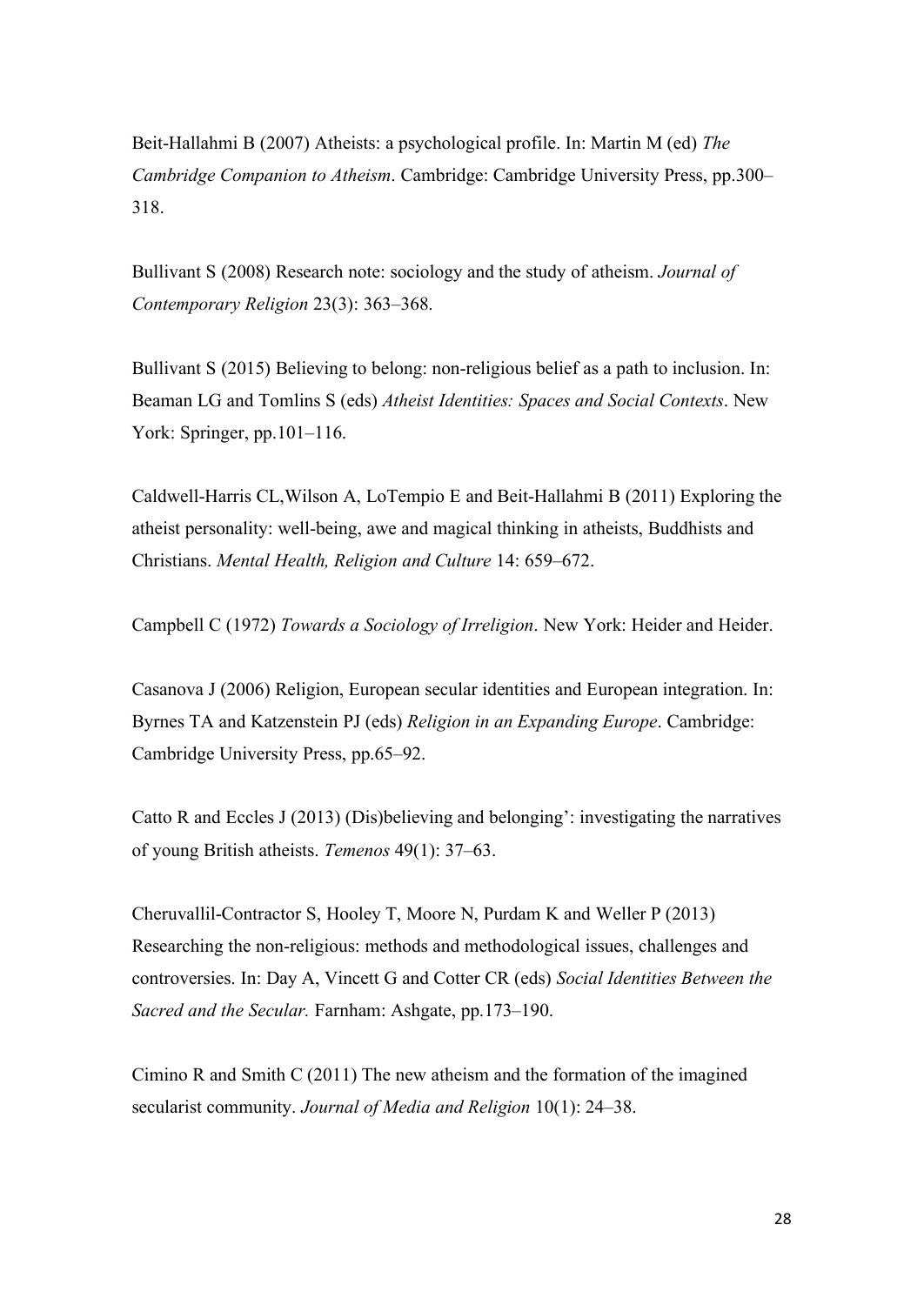Beit-Hallahmi B (2007) Atheists: a psychological profile. In: Martin M (ed) *The Cambridge Companion to Atheism*. Cambridge: Cambridge University Press, pp.300– 318.

Bullivant S (2008) Research note: sociology and the study of atheism. *Journal of Contemporary Religion* 23(3): 363–368.

Bullivant S (2015) Believing to belong: non-religious belief as a path to inclusion. In: Beaman LG and Tomlins S (eds) *Atheist Identities: Spaces and Social Contexts*. New York: Springer, pp.101–116.

Caldwell-Harris CL,Wilson A, LoTempio E and Beit-Hallahmi B (2011) Exploring the atheist personality: well-being, awe and magical thinking in atheists, Buddhists and Christians. *Mental Health, Religion and Culture* 14: 659–672.

Campbell C (1972) *Towards a Sociology of Irreligion*. New York: Heider and Heider.

Casanova J (2006) Religion, European secular identities and European integration. In: Byrnes TA and Katzenstein PJ (eds) *Religion in an Expanding Europe*. Cambridge: Cambridge University Press, pp.65–92.

Catto R and Eccles J (2013) (Dis)believing and belonging': investigating the narratives of young British atheists. *Temenos* 49(1): 37–63.

Cheruvallil-Contractor S, Hooley T, Moore N, Purdam K and Weller P (2013) Researching the non-religious: methods and methodological issues, challenges and controversies. In: Day A, Vincett G and Cotter CR (eds) *Social Identities Between the Sacred and the Secular.* Farnham: Ashgate, pp.173–190.

Cimino R and Smith C (2011) The new atheism and the formation of the imagined secularist community. *Journal of Media and Religion* 10(1): 24–38.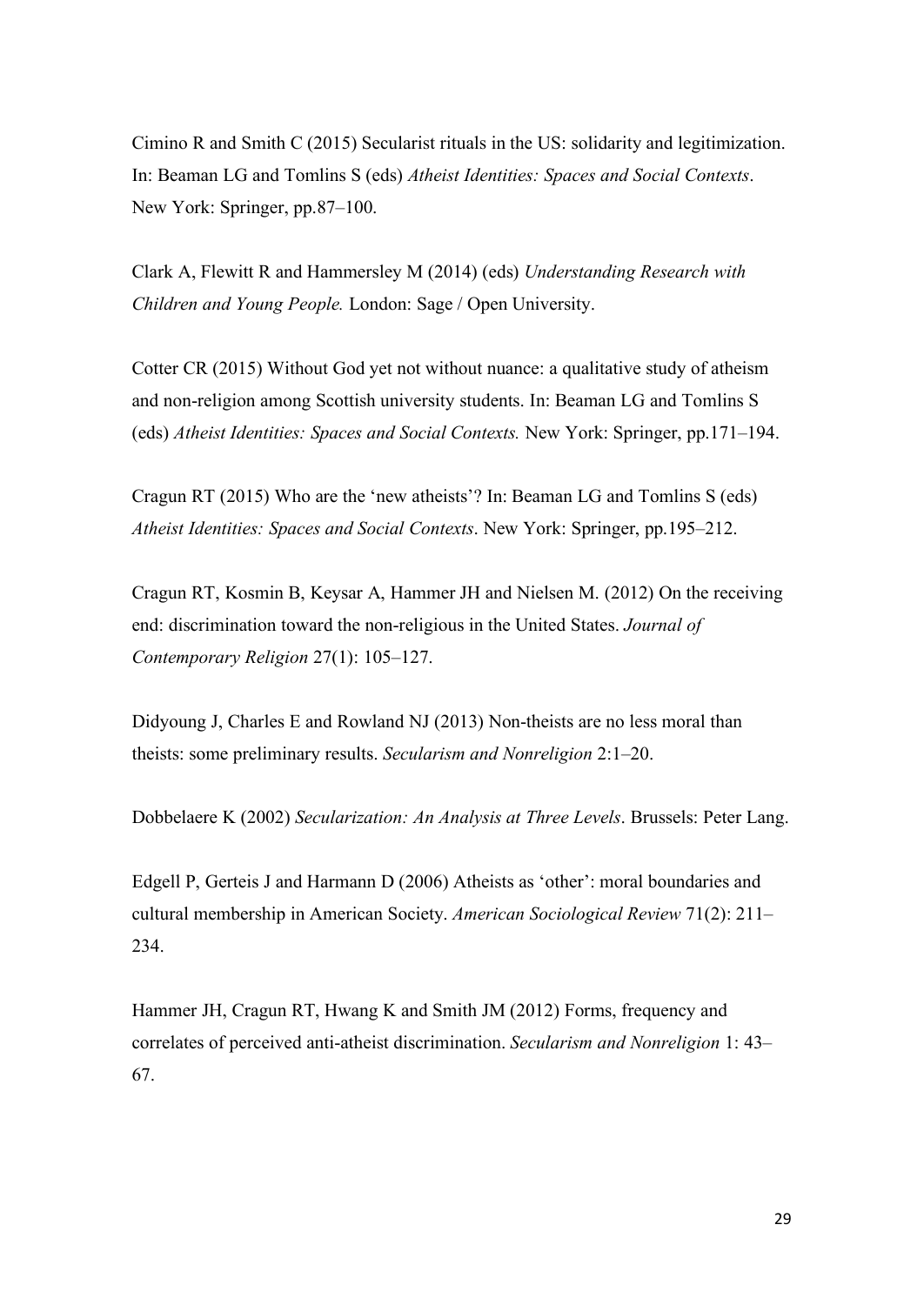Cimino R and Smith C (2015) Secularist rituals in the US: solidarity and legitimization. In: Beaman LG and Tomlins S (eds) *Atheist Identities: Spaces and Social Contexts*. New York: Springer, pp.87–100.

Clark A, Flewitt R and Hammersley M (2014) (eds) *Understanding Research with Children and Young People.* London: Sage / Open University.

Cotter CR (2015) Without God yet not without nuance: a qualitative study of atheism and non-religion among Scottish university students. In: Beaman LG and Tomlins S (eds) *Atheist Identities: Spaces and Social Contexts.* New York: Springer, pp.171–194.

Cragun RT (2015) Who are the 'new atheists'? In: Beaman LG and Tomlins S (eds) *Atheist Identities: Spaces and Social Contexts*. New York: Springer, pp.195–212.

Cragun RT, Kosmin B, Keysar A, Hammer JH and Nielsen M. (2012) On the receiving end: discrimination toward the non-religious in the United States. *Journal of Contemporary Religion* 27(1): 105–127.

Didyoung J, Charles E and Rowland NJ (2013) Non-theists are no less moral than theists: some preliminary results. *Secularism and Nonreligion* 2:1–20.

Dobbelaere K (2002) *Secularization: An Analysis at Three Levels*. Brussels: Peter Lang.

Edgell P, Gerteis J and Harmann D (2006) Atheists as 'other': moral boundaries and cultural membership in American Society. *American Sociological Review* 71(2): 211– 234.

Hammer JH, Cragun RT, Hwang K and Smith JM (2012) Forms, frequency and correlates of perceived anti-atheist discrimination. *Secularism and Nonreligion* 1: 43– 67.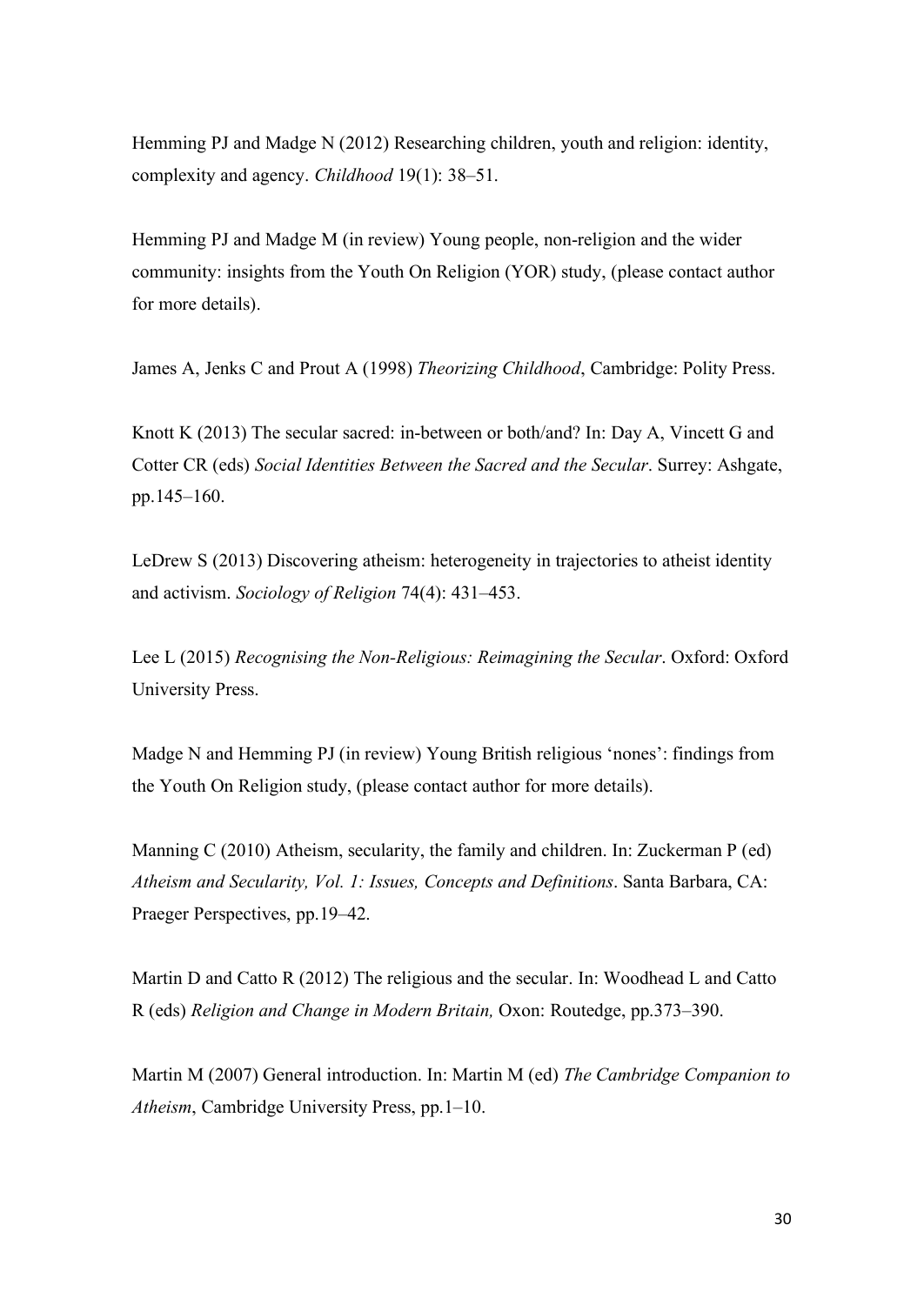Hemming PJ and Madge N (2012) Researching children, youth and religion: identity, complexity and agency. *Childhood* 19(1): 38–51.

Hemming PJ and Madge M (in review) Young people, non-religion and the wider community: insights from the Youth On Religion (YOR) study, (please contact author for more details).

James A, Jenks C and Prout A (1998) *Theorizing Childhood*, Cambridge: Polity Press.

Knott K (2013) The secular sacred: in-between or both/and? In: Day A, Vincett G and Cotter CR (eds) *Social Identities Between the Sacred and the Secular*. Surrey: Ashgate, pp.145–160.

LeDrew S (2013) Discovering atheism: heterogeneity in trajectories to atheist identity and activism. *Sociology of Religion* 74(4): 431–453.

Lee L (2015) *Recognising the Non-Religious: Reimagining the Secular*. Oxford: Oxford University Press.

Madge N and Hemming PJ (in review) Young British religious 'nones': findings from the Youth On Religion study, (please contact author for more details).

Manning C (2010) Atheism, secularity, the family and children. In: Zuckerman P (ed) *Atheism and Secularity, Vol. 1: Issues, Concepts and Definitions*. Santa Barbara, CA: Praeger Perspectives, pp.19–42.

Martin D and Catto R (2012) The religious and the secular. In: Woodhead L and Catto R (eds) *Religion and Change in Modern Britain,* Oxon: Routedge, pp.373–390.

Martin M (2007) General introduction. In: Martin M (ed) *The Cambridge Companion to Atheism*, Cambridge University Press, pp.1–10.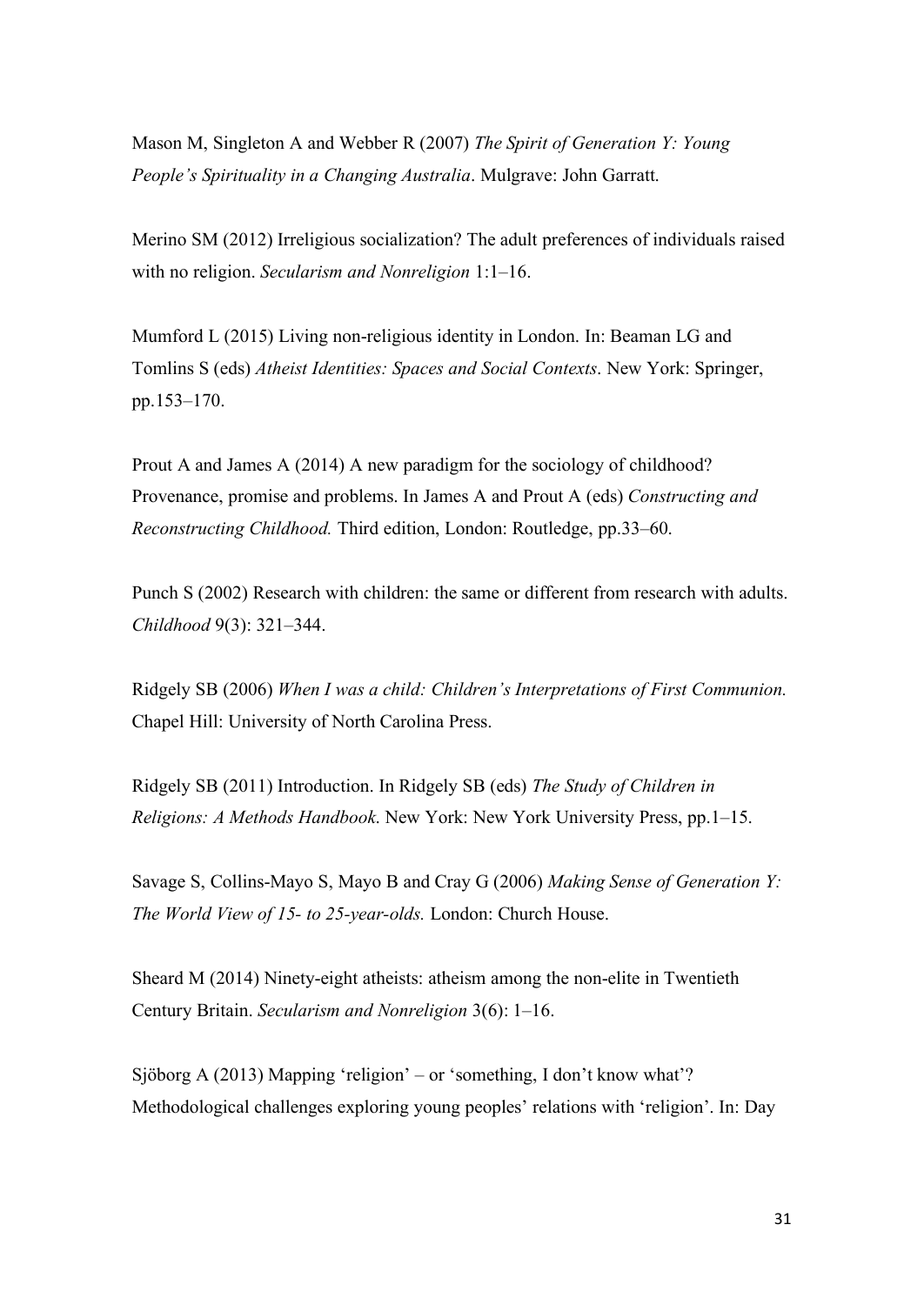Mason M, Singleton A and Webber R (2007) *The Spirit of Generation Y: Young People's Spirituality in a Changing Australia*. Mulgrave: John Garratt.

Merino SM (2012) Irreligious socialization? The adult preferences of individuals raised with no religion. *Secularism and Nonreligion* 1:1–16.

Mumford L (2015) Living non-religious identity in London. In: Beaman LG and Tomlins S (eds) *Atheist Identities: Spaces and Social Contexts*. New York: Springer, pp.153–170.

Prout A and James A (2014) A new paradigm for the sociology of childhood? Provenance, promise and problems. In James A and Prout A (eds) *Constructing and Reconstructing Childhood.* Third edition, London: Routledge, pp.33–60.

Punch S (2002) Research with children: the same or different from research with adults. *Childhood* 9(3): 321–344.

Ridgely SB (2006) *When I was a child: Children's Interpretations of First Communion.*  Chapel Hill: University of North Carolina Press.

Ridgely SB (2011) Introduction. In Ridgely SB (eds) *The Study of Children in Religions: A Methods Handbook*. New York: New York University Press, pp.1–15.

Savage S, Collins-Mayo S, Mayo B and Cray G (2006) *Making Sense of Generation Y: The World View of 15- to 25-year-olds.* London: Church House.

Sheard M (2014) Ninety-eight atheists: atheism among the non-elite in Twentieth Century Britain. *Secularism and Nonreligion* 3(6): 1–16.

Sjöborg A (2013) Mapping 'religion' – or 'something, I don't know what'? Methodological challenges exploring young peoples' relations with 'religion'. In: Day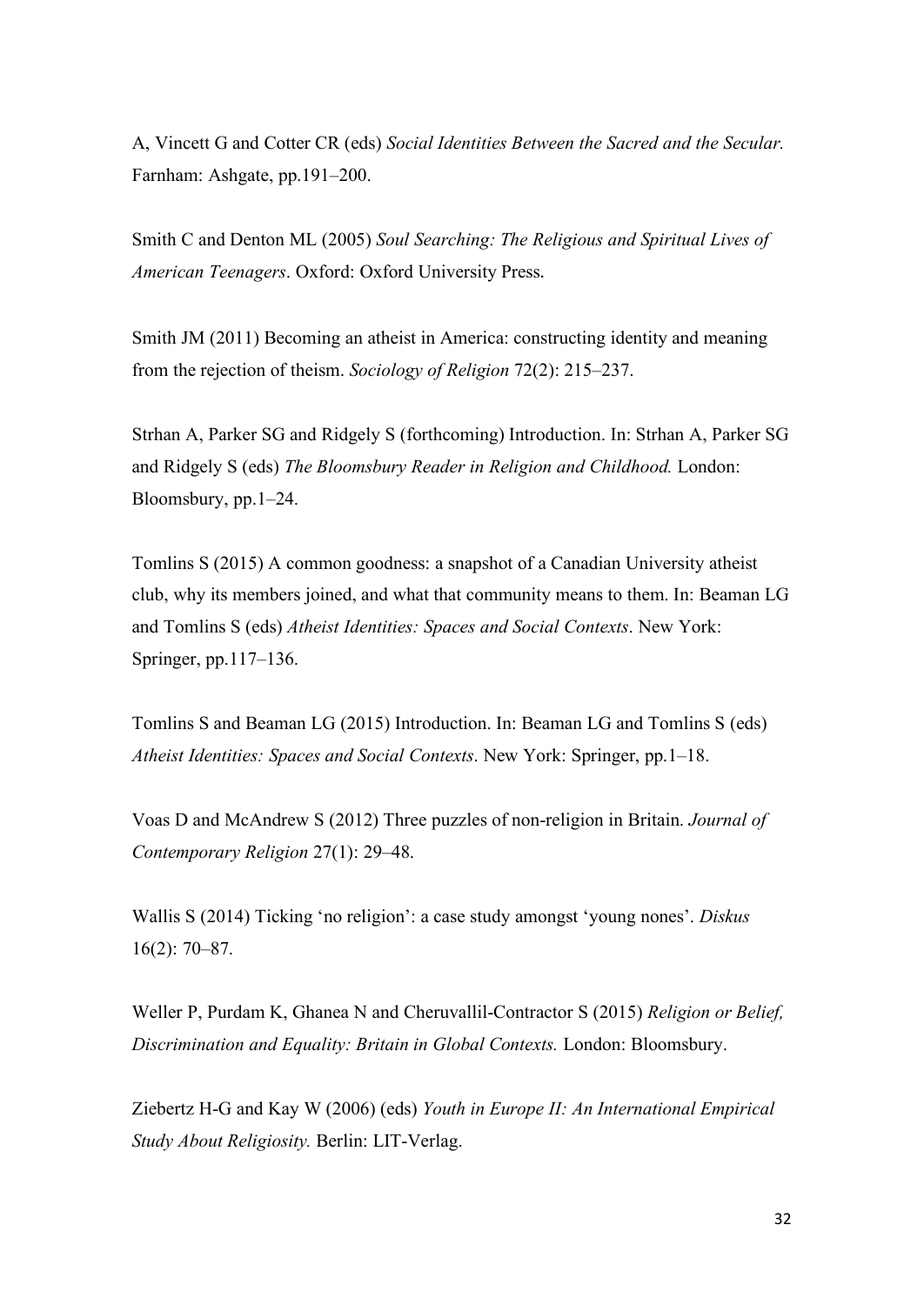A, Vincett G and Cotter CR (eds) *Social Identities Between the Sacred and the Secular.*  Farnham: Ashgate, pp.191–200.

Smith C and Denton ML (2005) *Soul Searching: The Religious and Spiritual Lives of American Teenagers*. Oxford: Oxford University Press.

Smith JM (2011) Becoming an atheist in America: constructing identity and meaning from the rejection of theism. *Sociology of Religion* 72(2): 215–237.

Strhan A, Parker SG and Ridgely S (forthcoming) Introduction. In: Strhan A, Parker SG and Ridgely S (eds) *The Bloomsbury Reader in Religion and Childhood.* London: Bloomsbury, pp.1–24.

Tomlins S (2015) A common goodness: a snapshot of a Canadian University atheist club, why its members joined, and what that community means to them. In: Beaman LG and Tomlins S (eds) *Atheist Identities: Spaces and Social Contexts*. New York: Springer, pp.117–136.

Tomlins S and Beaman LG (2015) Introduction. In: Beaman LG and Tomlins S (eds) *Atheist Identities: Spaces and Social Contexts*. New York: Springer, pp.1–18.

Voas D and McAndrew S (2012) Three puzzles of non-religion in Britain. *Journal of Contemporary Religion* 27(1): 29–48.

Wallis S (2014) Ticking 'no religion': a case study amongst 'young nones'. *Diskus* 16(2): 70–87.

Weller P, Purdam K, Ghanea N and Cheruvallil-Contractor S (2015) *Religion or Belief, Discrimination and Equality: Britain in Global Contexts.* London: Bloomsbury.

Ziebertz H-G and Kay W (2006) (eds) *Youth in Europe II: An International Empirical Study About Religiosity.* Berlin: LIT-Verlag.